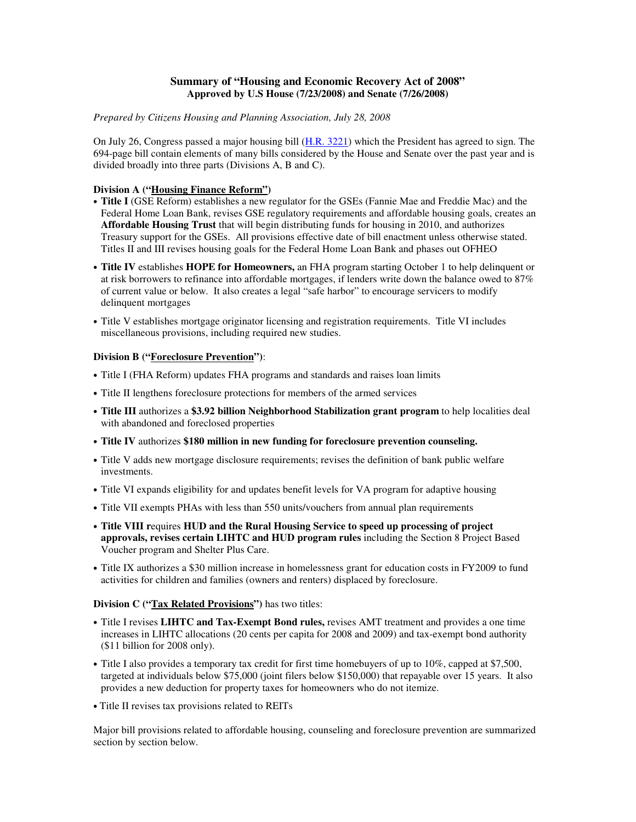#### **Summary of "Housing and Economic Recovery Act of 2008" Approved by U.S House (7/23/2008) and Senate (7/26/2008)**

#### *Prepared by Citizens Housing and Planning Association, July 28, 2008*

On July 26, Congress passed a major housing bill (H.R. 3221) which the President has agreed to sign. The 694-page bill contain elements of many bills considered by the House and Senate over the past year and is divided broadly into three parts (Divisions A, B and C).

#### **Division A ("Housing Finance Reform")**

- **Title I** (GSE Reform) establishes a new regulator for the GSEs (Fannie Mae and Freddie Mac) and the Federal Home Loan Bank, revises GSE regulatory requirements and affordable housing goals, creates an **Affordable Housing Trust** that will begin distributing funds for housing in 2010, and authorizes Treasury support for the GSEs. All provisions effective date of bill enactment unless otherwise stated. Titles II and III revises housing goals for the Federal Home Loan Bank and phases out OFHEO
- **Title IV** establishes **HOPE for Homeowners,** an FHA program starting October 1 to help delinquent or at risk borrowers to refinance into affordable mortgages, if lenders write down the balance owed to 87% of current value or below. It also creates a legal "safe harbor" to encourage servicers to modify delinquent mortgages
- Title V establishes mortgage originator licensing and registration requirements. Title VI includes miscellaneous provisions, including required new studies.

#### **Division B ("Foreclosure Prevention")**:

- Title I (FHA Reform) updates FHA programs and standards and raises loan limits
- Title II lengthens foreclosure protections for members of the armed services
- **Title III** authorizes a **\$3.92 billion Neighborhood Stabilization grant program** to help localities deal with abandoned and foreclosed properties
- **Title IV** authorizes **\$180 million in new funding for foreclosure prevention counseling.**
- Title V adds new mortgage disclosure requirements; revises the definition of bank public welfare investments.
- Title VI expands eligibility for and updates benefit levels for VA program for adaptive housing
- Title VII exempts PHAs with less than 550 units/vouchers from annual plan requirements
- **Title VIII r**equires **HUD and the Rural Housing Service to speed up processing of project approvals, revises certain LIHTC and HUD program rules** including the Section 8 Project Based Voucher program and Shelter Plus Care.
- Title IX authorizes a \$30 million increase in homelessness grant for education costs in FY2009 to fund activities for children and families (owners and renters) displaced by foreclosure.

#### **Division C ("Tax Related Provisions")** has two titles:

- Title I revises **LIHTC and Tax-Exempt Bond rules,** revises AMT treatment and provides a one time increases in LIHTC allocations (20 cents per capita for 2008 and 2009) and tax-exempt bond authority (\$11 billion for 2008 only).
- Title I also provides a temporary tax credit for first time homebuyers of up to 10%, capped at \$7,500, targeted at individuals below \$75,000 (joint filers below \$150,000) that repayable over 15 years. It also provides a new deduction for property taxes for homeowners who do not itemize.
- Title II revises tax provisions related to REITs

Major bill provisions related to affordable housing, counseling and foreclosure prevention are summarized section by section below.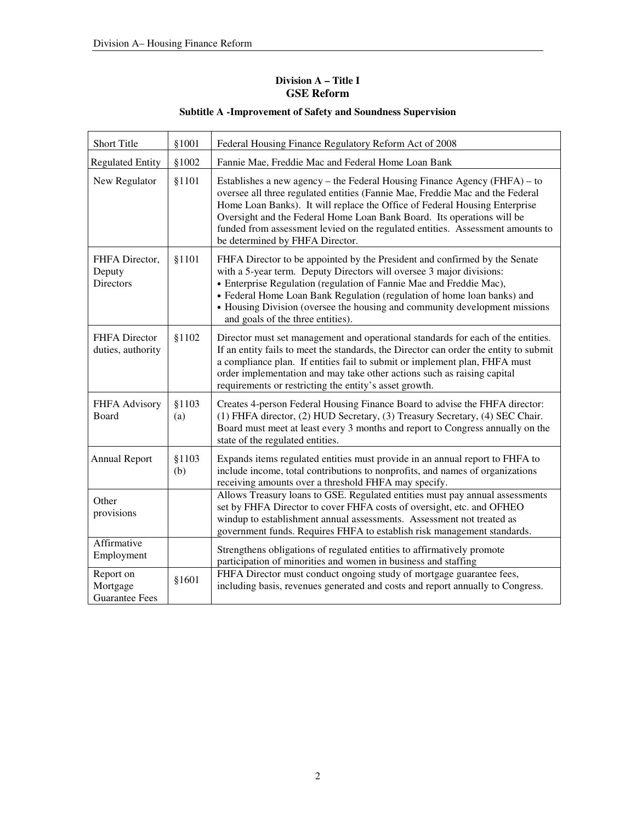## **Division A – Title I GSE Reform**

| Short Title                                    | §1001        | Federal Housing Finance Regulatory Reform Act of 2008                                                                                                                                                                                                                                                                                                                                                                                   |
|------------------------------------------------|--------------|-----------------------------------------------------------------------------------------------------------------------------------------------------------------------------------------------------------------------------------------------------------------------------------------------------------------------------------------------------------------------------------------------------------------------------------------|
| <b>Regulated Entity</b>                        | §1002        | Fannie Mae, Freddie Mac and Federal Home Loan Bank                                                                                                                                                                                                                                                                                                                                                                                      |
| New Regulator                                  | §1101        | Establishes a new agency – the Federal Housing Finance Agency (FHFA) – to<br>oversee all three regulated entities (Fannie Mae, Freddie Mac and the Federal<br>Home Loan Banks). It will replace the Office of Federal Housing Enterprise<br>Oversight and the Federal Home Loan Bank Board. Its operations will be<br>funded from assessment levied on the regulated entities. Assessment amounts to<br>be determined by FHFA Director. |
| FHFA Director,<br>Deputy<br><b>Directors</b>   | §1101        | FHFA Director to be appointed by the President and confirmed by the Senate<br>with a 5-year term. Deputy Directors will oversee 3 major divisions:<br>• Enterprise Regulation (regulation of Fannie Mae and Freddie Mac),<br>· Federal Home Loan Bank Regulation (regulation of home loan banks) and<br>• Housing Division (oversee the housing and community development missions<br>and goals of the three entities).                 |
| <b>FHFA</b> Director<br>duties, authority      | §1102        | Director must set management and operational standards for each of the entities.<br>If an entity fails to meet the standards, the Director can order the entity to submit<br>a compliance plan. If entities fail to submit or implement plan, FHFA must<br>order implementation and may take other actions such as raising capital<br>requirements or restricting the entity's asset growth.                                            |
| FHFA Advisory<br>Board                         | §1103<br>(a) | Creates 4-person Federal Housing Finance Board to advise the FHFA director:<br>(1) FHFA director, (2) HUD Secretary, (3) Treasury Secretary, (4) SEC Chair.<br>Board must meet at least every 3 months and report to Congress annually on the<br>state of the regulated entities.                                                                                                                                                       |
| <b>Annual Report</b>                           | §1103<br>(b) | Expands items regulated entities must provide in an annual report to FHFA to<br>include income, total contributions to nonprofits, and names of organizations<br>receiving amounts over a threshold FHFA may specify.                                                                                                                                                                                                                   |
| Other<br>provisions                            |              | Allows Treasury loans to GSE. Regulated entities must pay annual assessments<br>set by FHFA Director to cover FHFA costs of oversight, etc. and OFHEO<br>windup to establishment annual assessments. Assessment not treated as<br>government funds. Requires FHFA to establish risk management standards.                                                                                                                               |
| Affirmative<br>Employment                      |              | Strengthens obligations of regulated entities to affirmatively promote<br>participation of minorities and women in business and staffing                                                                                                                                                                                                                                                                                                |
| Report on<br>Mortgage<br><b>Guarantee Fees</b> | §1601        | FHFA Director must conduct ongoing study of mortgage guarantee fees,<br>including basis, revenues generated and costs and report annually to Congress.                                                                                                                                                                                                                                                                                  |

# **Subtitle A -Improvement of Safety and Soundness Supervision**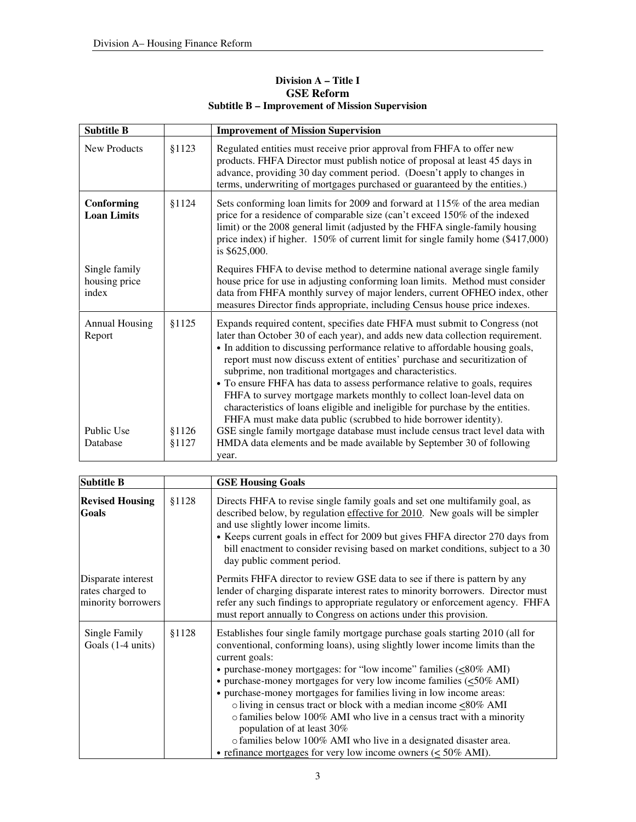| <b>Subtitle B</b>                       |                 | <b>Improvement of Mission Supervision</b>                                                                                                                                                                                                                                                                                                                                                                                                                                                                                                                                                                                                                                                             |
|-----------------------------------------|-----------------|-------------------------------------------------------------------------------------------------------------------------------------------------------------------------------------------------------------------------------------------------------------------------------------------------------------------------------------------------------------------------------------------------------------------------------------------------------------------------------------------------------------------------------------------------------------------------------------------------------------------------------------------------------------------------------------------------------|
| <b>New Products</b>                     | \$1123          | Regulated entities must receive prior approval from FHFA to offer new<br>products. FHFA Director must publish notice of proposal at least 45 days in<br>advance, providing 30 day comment period. (Doesn't apply to changes in<br>terms, underwriting of mortgages purchased or guaranteed by the entities.)                                                                                                                                                                                                                                                                                                                                                                                          |
| Conforming<br><b>Loan Limits</b>        | \$1124          | Sets conforming loan limits for 2009 and forward at 115% of the area median<br>price for a residence of comparable size (can't exceed 150% of the indexed<br>limit) or the 2008 general limit (adjusted by the FHFA single-family housing<br>price index) if higher. 150% of current limit for single family home (\$417,000)<br>is \$625,000.                                                                                                                                                                                                                                                                                                                                                        |
| Single family<br>housing price<br>index |                 | Requires FHFA to devise method to determine national average single family<br>house price for use in adjusting conforming loan limits. Method must consider<br>data from FHFA monthly survey of major lenders, current OFHEO index, other<br>measures Director finds appropriate, including Census house price indexes.                                                                                                                                                                                                                                                                                                                                                                               |
| <b>Annual Housing</b><br>Report         | \$1125          | Expands required content, specifies date FHFA must submit to Congress (not<br>later than October 30 of each year), and adds new data collection requirement.<br>• In addition to discussing performance relative to affordable housing goals,<br>report must now discuss extent of entities' purchase and securitization of<br>subprime, non traditional mortgages and characteristics.<br>• To ensure FHFA has data to assess performance relative to goals, requires<br>FHFA to survey mortgage markets monthly to collect loan-level data on<br>characteristics of loans eligible and ineligible for purchase by the entities.<br>FHFA must make data public (scrubbed to hide borrower identity). |
| Public Use<br>Database                  | \$1126<br>§1127 | GSE single family mortgage database must include census tract level data with<br>HMDA data elements and be made available by September 30 of following<br>year.                                                                                                                                                                                                                                                                                                                                                                                                                                                                                                                                       |

## **Division A – Title I GSE Reform Subtitle B – Improvement of Mission Supervision**

| <b>Subtitle B</b>                                            |        | <b>GSE Housing Goals</b>                                                                                                                                                                                                                                                                                                                                                                                                                                                                                                                                                                                                                                                                                                                                    |
|--------------------------------------------------------------|--------|-------------------------------------------------------------------------------------------------------------------------------------------------------------------------------------------------------------------------------------------------------------------------------------------------------------------------------------------------------------------------------------------------------------------------------------------------------------------------------------------------------------------------------------------------------------------------------------------------------------------------------------------------------------------------------------------------------------------------------------------------------------|
| <b>Revised Housing</b><br>Goals                              | \$1128 | Directs FHFA to revise single family goals and set one multifamily goal, as<br>described below, by regulation effective for 2010. New goals will be simpler<br>and use slightly lower income limits.<br>• Keeps current goals in effect for 2009 but gives FHFA director 270 days from<br>bill enactment to consider revising based on market conditions, subject to a 30<br>day public comment period.                                                                                                                                                                                                                                                                                                                                                     |
| Disparate interest<br>rates charged to<br>minority borrowers |        | Permits FHFA director to review GSE data to see if there is pattern by any<br>lender of charging disparate interest rates to minority borrowers. Director must<br>refer any such findings to appropriate regulatory or enforcement agency. FHFA<br>must report annually to Congress on actions under this provision.                                                                                                                                                                                                                                                                                                                                                                                                                                        |
| Single Family<br>Goals $(1-4 \text{ units})$                 | \$1128 | Establishes four single family mortgage purchase goals starting 2010 (all for<br>conventional, conforming loans), using slightly lower income limits than the<br>current goals:<br>• purchase-money mortgages: for "low income" families $(\leq 80\% \text{ AMI})$<br>• purchase-money mortgages for very low income families $(\leq 50\% \text{ AMI})$<br>• purchase-money mortgages for families living in low income areas:<br>o living in census tract or block with a median income $\leq 80\%$ AMI<br>o families below 100% AMI who live in a census tract with a minority<br>population of at least 30%<br>o families below 100% AMI who live in a designated disaster area.<br>• refinance mortgages for very low income owners ( $\leq 50\%$ AMI). |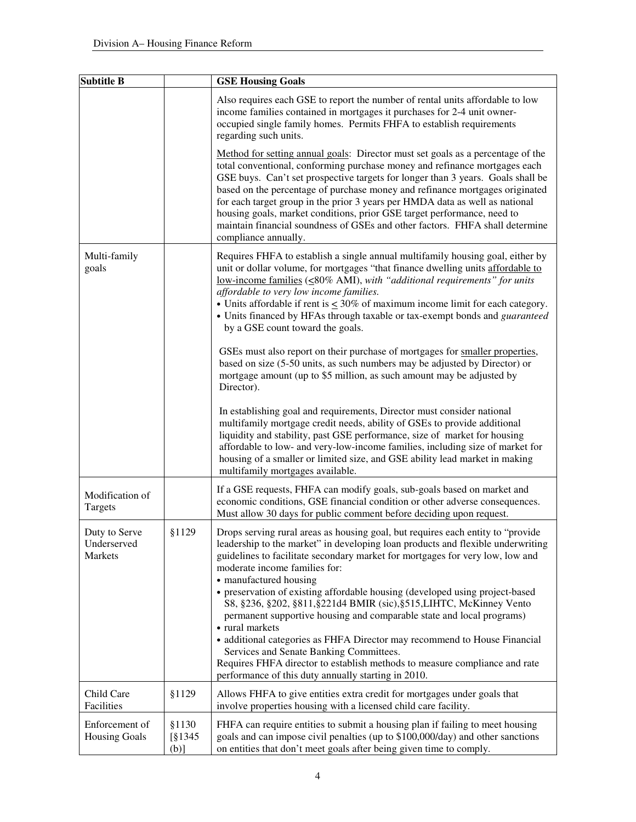| <b>Subtitle B</b>                       |                               | <b>GSE Housing Goals</b>                                                                                                                                                                                                                                                                                                                                                                                                                                                                                                                                                                                                                                                                                                                                                                                                        |
|-----------------------------------------|-------------------------------|---------------------------------------------------------------------------------------------------------------------------------------------------------------------------------------------------------------------------------------------------------------------------------------------------------------------------------------------------------------------------------------------------------------------------------------------------------------------------------------------------------------------------------------------------------------------------------------------------------------------------------------------------------------------------------------------------------------------------------------------------------------------------------------------------------------------------------|
|                                         |                               | Also requires each GSE to report the number of rental units affordable to low<br>income families contained in mortgages it purchases for 2-4 unit owner-<br>occupied single family homes. Permits FHFA to establish requirements<br>regarding such units.                                                                                                                                                                                                                                                                                                                                                                                                                                                                                                                                                                       |
|                                         |                               | Method for setting annual goals: Director must set goals as a percentage of the<br>total conventional, conforming purchase money and refinance mortgages each<br>GSE buys. Can't set prospective targets for longer than 3 years. Goals shall be<br>based on the percentage of purchase money and refinance mortgages originated<br>for each target group in the prior 3 years per HMDA data as well as national<br>housing goals, market conditions, prior GSE target performance, need to<br>maintain financial soundness of GSEs and other factors. FHFA shall determine<br>compliance annually.                                                                                                                                                                                                                             |
| Multi-family<br>goals                   |                               | Requires FHFA to establish a single annual multifamily housing goal, either by<br>unit or dollar volume, for mortgages "that finance dwelling units affordable to<br><u>low-income families</u> (<80% AMI), with "additional requirements" for units<br>affordable to very low income families.<br>• Units affordable if rent is $\leq 30\%$ of maximum income limit for each category.<br>• Units financed by HFAs through taxable or tax-exempt bonds and guaranteed<br>by a GSE count toward the goals.                                                                                                                                                                                                                                                                                                                      |
|                                         |                               | GSEs must also report on their purchase of mortgages for smaller properties,<br>based on size (5-50 units, as such numbers may be adjusted by Director) or<br>mortgage amount (up to \$5 million, as such amount may be adjusted by<br>Director).                                                                                                                                                                                                                                                                                                                                                                                                                                                                                                                                                                               |
|                                         |                               | In establishing goal and requirements, Director must consider national<br>multifamily mortgage credit needs, ability of GSEs to provide additional<br>liquidity and stability, past GSE performance, size of market for housing<br>affordable to low- and very-low-income families, including size of market for<br>housing of a smaller or limited size, and GSE ability lead market in making<br>multifamily mortgages available.                                                                                                                                                                                                                                                                                                                                                                                             |
| Modification of<br>Targets              |                               | If a GSE requests, FHFA can modify goals, sub-goals based on market and<br>economic conditions, GSE financial condition or other adverse consequences.<br>Must allow 30 days for public comment before deciding upon request.                                                                                                                                                                                                                                                                                                                                                                                                                                                                                                                                                                                                   |
| Duty to Serve<br>Underserved<br>Markets | §1129                         | Drops serving rural areas as housing goal, but requires each entity to "provide<br>leadership to the market" in developing loan products and flexible underwriting<br>guidelines to facilitate secondary market for mortgages for very low, low and<br>moderate income families for:<br>• manufactured housing<br>• preservation of existing affordable housing (developed using project-based<br>S8, §236, §202, §811, §221d4 BMIR (sic), §515, LIHTC, McKinney Vento<br>permanent supportive housing and comparable state and local programs)<br>• rural markets<br>• additional categories as FHFA Director may recommend to House Financial<br>Services and Senate Banking Committees.<br>Requires FHFA director to establish methods to measure compliance and rate<br>performance of this duty annually starting in 2010. |
| Child Care<br>Facilities                | \$1129                        | Allows FHFA to give entities extra credit for mortgages under goals that<br>involve properties housing with a licensed child care facility.                                                                                                                                                                                                                                                                                                                                                                                                                                                                                                                                                                                                                                                                                     |
| Enforcement of<br><b>Housing Goals</b>  | \$1130<br>$\S1345$<br>$(b)$ ] | FHFA can require entities to submit a housing plan if failing to meet housing<br>goals and can impose civil penalties (up to \$100,000/day) and other sanctions<br>on entities that don't meet goals after being given time to comply.                                                                                                                                                                                                                                                                                                                                                                                                                                                                                                                                                                                          |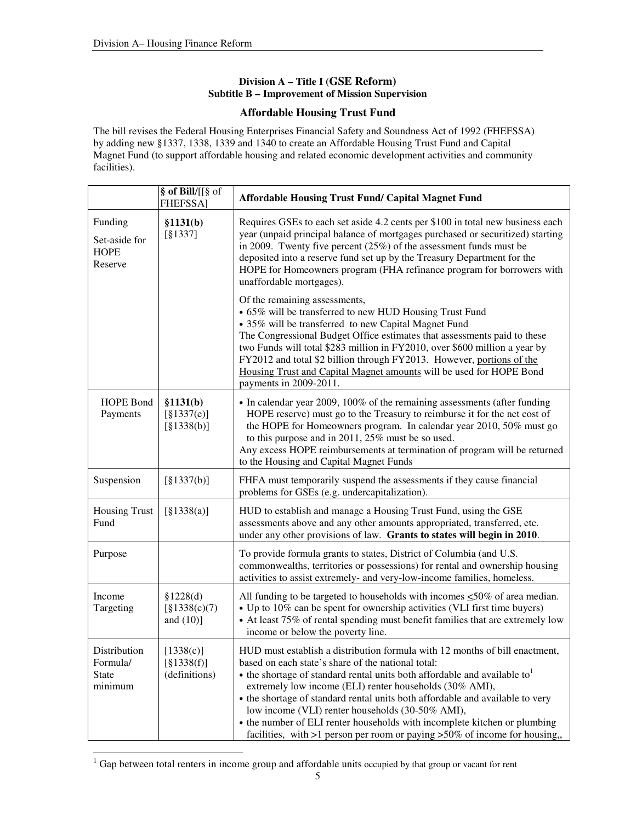### **Division A – Title I (GSE Reform) Subtitle B – Improvement of Mission Supervision**

### **Affordable Housing Trust Fund**

The bill revises the Federal Housing Enterprises Financial Safety and Soundness Act of 1992 (FHEFSSA) by adding new §1337, 1338, 1339 and 1340 to create an Affordable Housing Trust Fund and Capital Magnet Fund (to support affordable housing and related economic development activities and community facilities).

|                                                     | § of Bill/[[§ of<br><b>FHEFSSA</b>           | <b>Affordable Housing Trust Fund/ Capital Magnet Fund</b>                                                                                                                                                                                                                                                                                                                                                                                                                                                                                                                    |
|-----------------------------------------------------|----------------------------------------------|------------------------------------------------------------------------------------------------------------------------------------------------------------------------------------------------------------------------------------------------------------------------------------------------------------------------------------------------------------------------------------------------------------------------------------------------------------------------------------------------------------------------------------------------------------------------------|
| Funding<br>Set-aside for<br><b>HOPE</b><br>Reserve  | \$1131(b)<br>[§1337]                         | Requires GSEs to each set aside 4.2 cents per \$100 in total new business each<br>year (unpaid principal balance of mortgages purchased or securitized) starting<br>in 2009. Twenty five percent $(25%)$ of the assessment funds must be<br>deposited into a reserve fund set up by the Treasury Department for the<br>HOPE for Homeowners program (FHA refinance program for borrowers with<br>unaffordable mortgages).                                                                                                                                                     |
|                                                     |                                              | Of the remaining assessments,<br>• 65% will be transferred to new HUD Housing Trust Fund<br>• 35% will be transferred to new Capital Magnet Fund<br>The Congressional Budget Office estimates that assessments paid to these<br>two Funds will total \$283 million in FY2010, over \$600 million a year by<br>FY2012 and total \$2 billion through FY2013. However, portions of the<br>Housing Trust and Capital Magnet amounts will be used for HOPE Bond<br>payments in 2009-2011.                                                                                         |
| HOPE Bond<br>Payments                               | \$1131(b)<br>[§1337(e)]<br>[§1338(b)]        | • In calendar year 2009, 100% of the remaining assessments (after funding<br>HOPE reserve) must go to the Treasury to reimburse it for the net cost of<br>the HOPE for Homeowners program. In calendar year 2010, 50% must go<br>to this purpose and in 2011, 25% must be so used.<br>Any excess HOPE reimbursements at termination of program will be returned<br>to the Housing and Capital Magnet Funds                                                                                                                                                                   |
| Suspension                                          | [§1337(b)]                                   | FHFA must temporarily suspend the assessments if they cause financial<br>problems for GSEs (e.g. undercapitalization).                                                                                                                                                                                                                                                                                                                                                                                                                                                       |
| <b>Housing Trust</b><br>Fund                        | [§1338(a)]                                   | HUD to establish and manage a Housing Trust Fund, using the GSE<br>assessments above and any other amounts appropriated, transferred, etc.<br>under any other provisions of law. Grants to states will begin in 2010.                                                                                                                                                                                                                                                                                                                                                        |
| Purpose                                             |                                              | To provide formula grants to states, District of Columbia (and U.S.<br>commonwealths, territories or possessions) for rental and ownership housing<br>activities to assist extremely- and very-low-income families, homeless.                                                                                                                                                                                                                                                                                                                                                |
| Income<br>Targeting                                 | \$1228(d)<br>$\S$ 1338(c)(7)<br>and $(10)$ ] | All funding to be targeted to households with incomes $\leq 50\%$ of area median.<br>• Up to 10% can be spent for ownership activities (VLI first time buyers)<br>• At least 75% of rental spending must benefit families that are extremely low<br>income or below the poverty line.                                                                                                                                                                                                                                                                                        |
| Distribution<br>Formula/<br><b>State</b><br>minimum | [1338(c)]<br>[§1338(f)]<br>(definitions)     | HUD must establish a distribution formula with 12 months of bill enactment,<br>based on each state's share of the national total:<br>• the shortage of standard rental units both affordable and available to<br>extremely low income (ELI) renter households (30% AMI),<br>• the shortage of standard rental units both affordable and available to very<br>low income (VLI) renter households (30-50% AMI),<br>• the number of ELI renter households with incomplete kitchen or plumbing<br>facilities, with $>1$ person per room or paying $>50\%$ of income for housing, |

<sup>1</sup> Gap between total renters in income group and affordable units occupied by that group or vacant for rent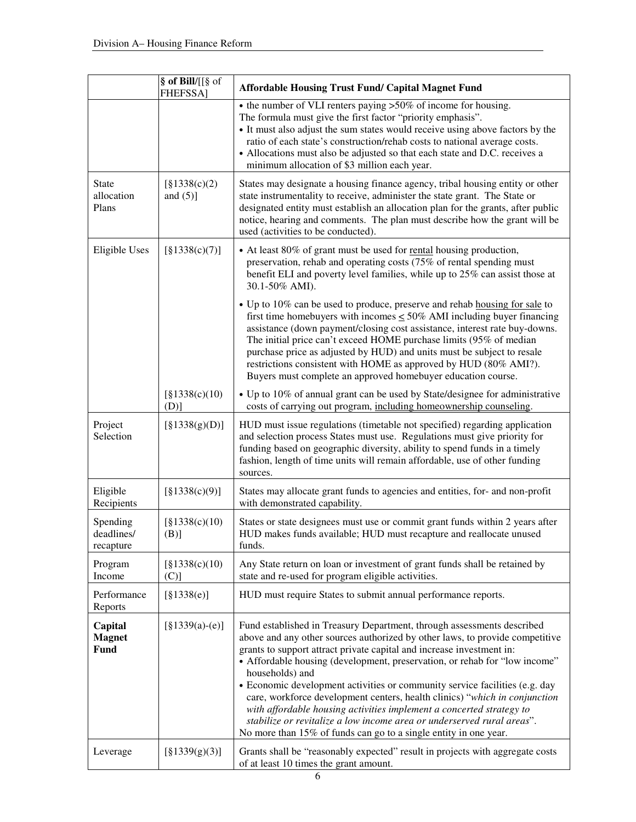|                                         | § of Bill/[[§ of<br><b>FHEFSSA</b> | <b>Affordable Housing Trust Fund/ Capital Magnet Fund</b>                                                                                                                                                                                                                                                                                                                                                                                                                                                                                                                                                                                                                                                           |
|-----------------------------------------|------------------------------------|---------------------------------------------------------------------------------------------------------------------------------------------------------------------------------------------------------------------------------------------------------------------------------------------------------------------------------------------------------------------------------------------------------------------------------------------------------------------------------------------------------------------------------------------------------------------------------------------------------------------------------------------------------------------------------------------------------------------|
|                                         |                                    | • the number of VLI renters paying >50% of income for housing.<br>The formula must give the first factor "priority emphasis".<br>• It must also adjust the sum states would receive using above factors by the<br>ratio of each state's construction/rehab costs to national average costs.<br>• Allocations must also be adjusted so that each state and D.C. receives a<br>minimum allocation of \$3 million each year.                                                                                                                                                                                                                                                                                           |
| <b>State</b><br>allocation<br>Plans     | $\S$ 1338(c)(2)<br>and $(5)$ ]     | States may designate a housing finance agency, tribal housing entity or other<br>state instrumentality to receive, administer the state grant. The State or<br>designated entity must establish an allocation plan for the grants, after public<br>notice, hearing and comments. The plan must describe how the grant will be<br>used (activities to be conducted).                                                                                                                                                                                                                                                                                                                                                 |
| Eligible Uses                           | [§1338(c)(7)]                      | • At least 80% of grant must be used for rental housing production,<br>preservation, rehab and operating costs (75% of rental spending must<br>benefit ELI and poverty level families, while up to 25% can assist those at<br>30.1-50% AMI).                                                                                                                                                                                                                                                                                                                                                                                                                                                                        |
|                                         |                                    | • Up to 10% can be used to produce, preserve and rehab housing for sale to<br>first time homebuyers with incomes $\leq 50\%$ AMI including buyer financing<br>assistance (down payment/closing cost assistance, interest rate buy-downs.<br>The initial price can't exceed HOME purchase limits (95% of median<br>purchase price as adjusted by HUD) and units must be subject to resale<br>restrictions consistent with HOME as approved by HUD (80% AMI?).<br>Buyers must complete an approved homebuyer education course.                                                                                                                                                                                        |
|                                         | $\S$ 1338(c)(10)<br>$(D)$ ]        | • Up to 10% of annual grant can be used by State/designee for administrative<br>costs of carrying out program, including homeownership counseling.                                                                                                                                                                                                                                                                                                                                                                                                                                                                                                                                                                  |
| Project<br>Selection                    | [§1338(g)(D)]                      | HUD must issue regulations (timetable not specified) regarding application<br>and selection process States must use. Regulations must give priority for<br>funding based on geographic diversity, ability to spend funds in a timely<br>fashion, length of time units will remain affordable, use of other funding<br>sources.                                                                                                                                                                                                                                                                                                                                                                                      |
| Eligible<br>Recipients                  | [§1338(c)(9)]                      | States may allocate grant funds to agencies and entities, for- and non-profit<br>with demonstrated capability.                                                                                                                                                                                                                                                                                                                                                                                                                                                                                                                                                                                                      |
| Spending<br>deadlines/<br>recapture     | $\S1338(c)(10)$<br>(B)]            | States or state designees must use or commit grant funds within 2 years after<br>HUD makes funds available; HUD must recapture and reallocate unused<br>funds.                                                                                                                                                                                                                                                                                                                                                                                                                                                                                                                                                      |
| Program<br>Income                       | $\S$ 1338(c)(10)<br>$(C)$ ]        | Any State return on loan or investment of grant funds shall be retained by<br>state and re-used for program eligible activities.                                                                                                                                                                                                                                                                                                                                                                                                                                                                                                                                                                                    |
| Performance<br>Reports                  | [§1338(e)]                         | HUD must require States to submit annual performance reports.                                                                                                                                                                                                                                                                                                                                                                                                                                                                                                                                                                                                                                                       |
| Capital<br><b>Magnet</b><br><b>Fund</b> | $[§1339(a)-(e)]$                   | Fund established in Treasury Department, through assessments described<br>above and any other sources authorized by other laws, to provide competitive<br>grants to support attract private capital and increase investment in:<br>• Affordable housing (development, preservation, or rehab for "low income"<br>households) and<br>• Economic development activities or community service facilities (e.g. day<br>care, workforce development centers, health clinics) "which in conjunction<br>with affordable housing activities implement a concerted strategy to<br>stabilize or revitalize a low income area or underserved rural areas".<br>No more than 15% of funds can go to a single entity in one year. |
| Leverage                                | [§1339(g)(3)]                      | Grants shall be "reasonably expected" result in projects with aggregate costs<br>of at least 10 times the grant amount.                                                                                                                                                                                                                                                                                                                                                                                                                                                                                                                                                                                             |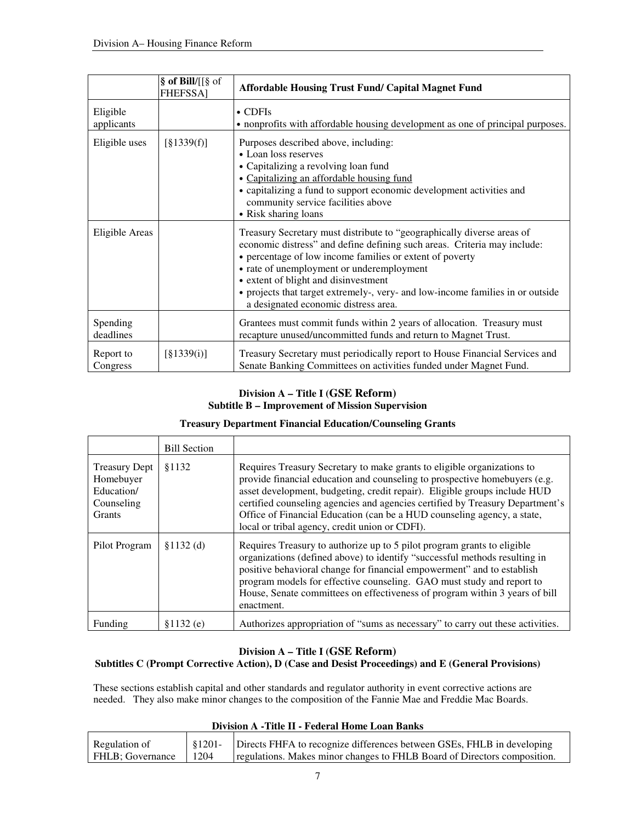|                        | § of Bill/[[§ of<br><b>FHEFSSA1</b> | <b>Affordable Housing Trust Fund/ Capital Magnet Fund</b>                                                                                                                                                                                                                                                                                                                                                                     |
|------------------------|-------------------------------------|-------------------------------------------------------------------------------------------------------------------------------------------------------------------------------------------------------------------------------------------------------------------------------------------------------------------------------------------------------------------------------------------------------------------------------|
| Eligible<br>applicants |                                     | $\bullet$ CDFIs<br>• nonprofits with affordable housing development as one of principal purposes.                                                                                                                                                                                                                                                                                                                             |
| Eligible uses          | [§1339(f)]                          | Purposes described above, including:<br>• Loan loss reserves<br>• Capitalizing a revolving loan fund<br>• Capitalizing an affordable housing fund<br>• capitalizing a fund to support economic development activities and<br>community service facilities above<br>• Risk sharing loans                                                                                                                                       |
| Eligible Areas         |                                     | Treasury Secretary must distribute to "geographically diverse areas of<br>economic distress" and define defining such areas. Criteria may include:<br>• percentage of low income families or extent of poverty<br>• rate of unemployment or underemployment<br>• extent of blight and disinvestment<br>• projects that target extremely-, very- and low-income families in or outside<br>a designated economic distress area. |
| Spending<br>deadlines  |                                     | Grantees must commit funds within 2 years of allocation. Treasury must<br>recapture unused/uncommitted funds and return to Magnet Trust.                                                                                                                                                                                                                                                                                      |
| Report to<br>Congress  | [§1339(i)]                          | Treasury Secretary must periodically report to House Financial Services and<br>Senate Banking Committees on activities funded under Magnet Fund.                                                                                                                                                                                                                                                                              |

## **Division A – Title I (GSE Reform) Subtitle B – Improvement of Mission Supervision**

### **Treasury Department Financial Education/Counseling Grants**

|                                                                                | <b>Bill Section</b> |                                                                                                                                                                                                                                                                                                                                                                                                                                                  |
|--------------------------------------------------------------------------------|---------------------|--------------------------------------------------------------------------------------------------------------------------------------------------------------------------------------------------------------------------------------------------------------------------------------------------------------------------------------------------------------------------------------------------------------------------------------------------|
| <b>Treasury Dept</b><br>Homebuyer<br>Education/<br>Counseling<br><b>Grants</b> | \$1132              | Requires Treasury Secretary to make grants to eligible organizations to<br>provide financial education and counseling to prospective homebuyers (e.g.<br>asset development, budgeting, credit repair). Eligible groups include HUD<br>certified counseling agencies and agencies certified by Treasury Department's<br>Office of Financial Education (can be a HUD counseling agency, a state,<br>local or tribal agency, credit union or CDFI). |
| Pilot Program                                                                  | $$1132$ (d)         | Requires Treasury to authorize up to 5 pilot program grants to eligible<br>organizations (defined above) to identify "successful methods resulting in<br>positive behavioral change for financial empowerment" and to establish<br>program models for effective counseling. GAO must study and report to<br>House, Senate committees on effectiveness of program within 3 years of bill<br>enactment.                                            |
| Funding                                                                        | \$1132(e)           | Authorizes appropriation of "sums as necessary" to carry out these activities.                                                                                                                                                                                                                                                                                                                                                                   |

## **Division A – Title I (GSE Reform)**

#### **Subtitles C (Prompt Corrective Action), D (Case and Desist Proceedings) and E (General Provisions)**

These sections establish capital and other standards and regulator authority in event corrective actions are needed. They also make minor changes to the composition of the Fannie Mae and Freddie Mac Boards.

#### **Division A -Title II - Federal Home Loan Banks**

| Regulation of    | \$1201- | Directs FHFA to recognize differences between GSEs, FHLB in developing   |
|------------------|---------|--------------------------------------------------------------------------|
| FHLB: Governance | 1204    | regulations. Makes minor changes to FHLB Board of Directors composition. |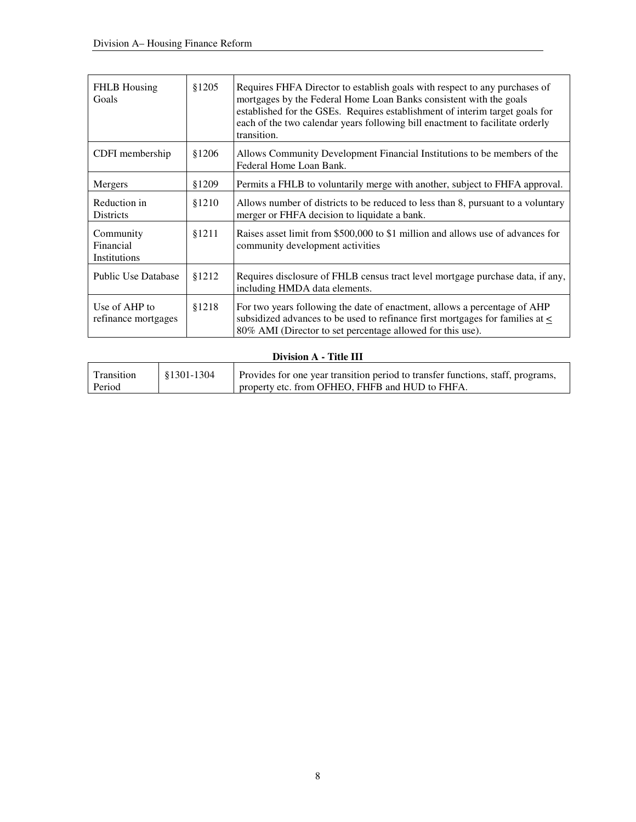| <b>FHLB</b> Housing<br>Goals           | \$1205 | Requires FHFA Director to establish goals with respect to any purchases of<br>mortgages by the Federal Home Loan Banks consistent with the goals<br>established for the GSEs. Requires establishment of interim target goals for<br>each of the two calendar years following bill enactment to facilitate orderly<br>transition. |
|----------------------------------------|--------|----------------------------------------------------------------------------------------------------------------------------------------------------------------------------------------------------------------------------------------------------------------------------------------------------------------------------------|
| CDFI membership                        | \$1206 | Allows Community Development Financial Institutions to be members of the<br>Federal Home Loan Bank.                                                                                                                                                                                                                              |
| Mergers                                | §1209  | Permits a FHLB to voluntarily merge with another, subject to FHFA approval.                                                                                                                                                                                                                                                      |
| Reduction in<br><b>Districts</b>       | \$1210 | Allows number of districts to be reduced to less than 8, pursuant to a voluntary<br>merger or FHFA decision to liquidate a bank.                                                                                                                                                                                                 |
| Community<br>Financial<br>Institutions | \$1211 | Raises asset limit from \$500,000 to \$1 million and allows use of advances for<br>community development activities                                                                                                                                                                                                              |
| <b>Public Use Database</b>             | \$1212 | Requires disclosure of FHLB census tract level mortgage purchase data, if any,<br>including HMDA data elements.                                                                                                                                                                                                                  |
| Use of AHP to<br>refinance mortgages   | \$1218 | For two years following the date of enactment, allows a percentage of AHP<br>subsidized advances to be used to refinance first mortgages for families at $\leq$<br>80% AMI (Director to set percentage allowed for this use).                                                                                                    |

## **Division A - Title III**

| Transition | 81301-1304 | Provides for one year transition period to transfer functions, staff, programs, |
|------------|------------|---------------------------------------------------------------------------------|
| Period     |            | property etc. from OFHEO, FHFB and HUD to FHFA.                                 |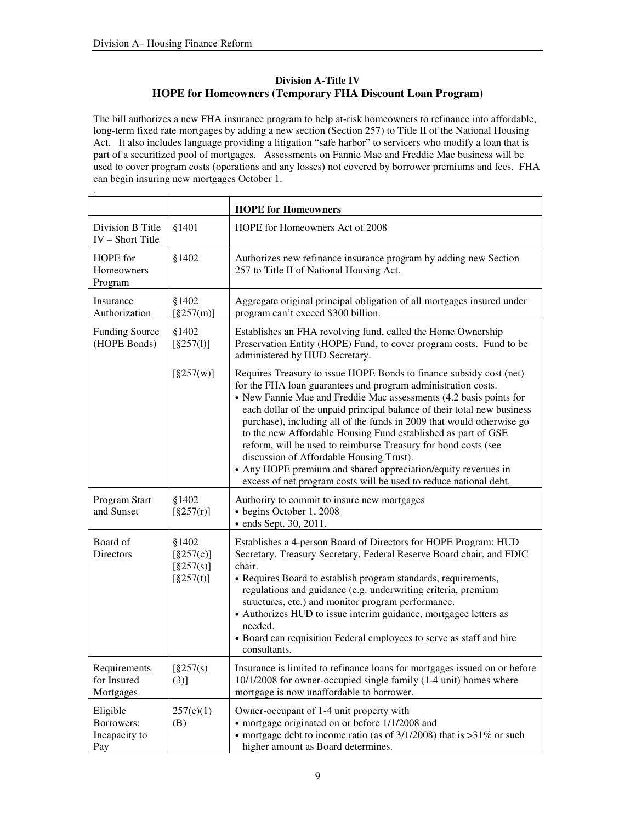## **Division A-Title IV HOPE for Homeowners (Temporary FHA Discount Loan Program)**

The bill authorizes a new FHA insurance program to help at-risk homeowners to refinance into affordable, long-term fixed rate mortgages by adding a new section (Section 257) to Title II of the National Housing Act. It also includes language providing a litigation "safe harbor" to servicers who modify a loan that is part of a securitized pool of mortgages. Assessments on Fannie Mae and Freddie Mac business will be used to cover program costs (operations and any losses) not covered by borrower premiums and fees. FHA can begin insuring new mortgages October 1.

|                                                |                                              | <b>HOPE for Homeowners</b>                                                                                                                                                                                                                                                                                                                                                                                                                                                                                                                                                                                                                                                          |
|------------------------------------------------|----------------------------------------------|-------------------------------------------------------------------------------------------------------------------------------------------------------------------------------------------------------------------------------------------------------------------------------------------------------------------------------------------------------------------------------------------------------------------------------------------------------------------------------------------------------------------------------------------------------------------------------------------------------------------------------------------------------------------------------------|
| Division B Title<br>IV - Short Title           | §1401                                        | HOPE for Homeowners Act of 2008                                                                                                                                                                                                                                                                                                                                                                                                                                                                                                                                                                                                                                                     |
| HOPE for<br>Homeowners<br>Program              | §1402                                        | Authorizes new refinance insurance program by adding new Section<br>257 to Title II of National Housing Act.                                                                                                                                                                                                                                                                                                                                                                                                                                                                                                                                                                        |
| Insurance<br>Authorization                     | §1402<br>[§257(m)]                           | Aggregate original principal obligation of all mortgages insured under<br>program can't exceed \$300 billion.                                                                                                                                                                                                                                                                                                                                                                                                                                                                                                                                                                       |
| <b>Funding Source</b><br>(HOPE Bonds)          | §1402<br>[§257(1)]                           | Establishes an FHA revolving fund, called the Home Ownership<br>Preservation Entity (HOPE) Fund, to cover program costs. Fund to be<br>administered by HUD Secretary.                                                                                                                                                                                                                                                                                                                                                                                                                                                                                                               |
|                                                | [§257(w)]                                    | Requires Treasury to issue HOPE Bonds to finance subsidy cost (net)<br>for the FHA loan guarantees and program administration costs.<br>• New Fannie Mae and Freddie Mac assessments (4.2 basis points for<br>each dollar of the unpaid principal balance of their total new business<br>purchase), including all of the funds in 2009 that would otherwise go<br>to the new Affordable Housing Fund established as part of GSE<br>reform, will be used to reimburse Treasury for bond costs (see<br>discussion of Affordable Housing Trust).<br>• Any HOPE premium and shared appreciation/equity revenues in<br>excess of net program costs will be used to reduce national debt. |
| Program Start<br>and Sunset                    | §1402<br>[§257(r)]                           | Authority to commit to insure new mortgages<br>· begins October 1, 2008<br>· ends Sept. 30, 2011.                                                                                                                                                                                                                                                                                                                                                                                                                                                                                                                                                                                   |
| Board of<br>Directors                          | §1402<br>[§257(c)]<br>[§257(s)]<br>[§257(t)] | Establishes a 4-person Board of Directors for HOPE Program: HUD<br>Secretary, Treasury Secretary, Federal Reserve Board chair, and FDIC<br>chair.<br>• Requires Board to establish program standards, requirements,<br>regulations and guidance (e.g. underwriting criteria, premium<br>structures, etc.) and monitor program performance.<br>• Authorizes HUD to issue interim guidance, mortgagee letters as<br>needed.<br>• Board can requisition Federal employees to serve as staff and hire<br>consultants.                                                                                                                                                                   |
| Requirements<br>for Insured<br>Mortgages       | $\S257(s)$<br>(3)]                           | Insurance is limited to refinance loans for mortgages issued on or before<br>10/1/2008 for owner-occupied single family (1-4 unit) homes where<br>mortgage is now unaffordable to borrower.                                                                                                                                                                                                                                                                                                                                                                                                                                                                                         |
| Eligible<br>Borrowers:<br>Incapacity to<br>Pay | 257(e)(1)<br>(B)                             | Owner-occupant of 1-4 unit property with<br>• mortgage originated on or before 1/1/2008 and<br>• mortgage debt to income ratio (as of $3/1/2008$ ) that is > $31\%$ or such<br>higher amount as Board determines.                                                                                                                                                                                                                                                                                                                                                                                                                                                                   |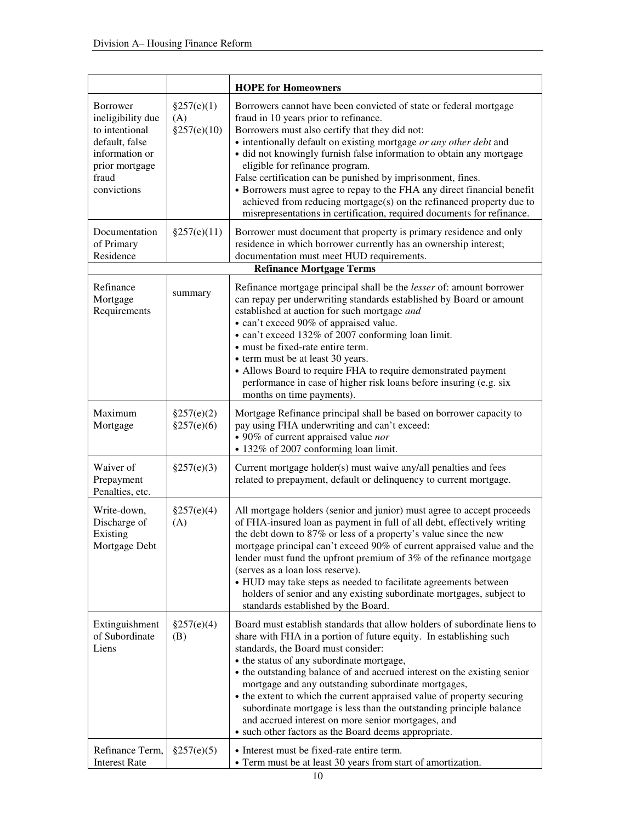|                                                                                                                               |                                  | <b>HOPE for Homeowners</b>                                                                                                                                                                                                                                                                                                                                                                                                                                                                                                                                                                                                                    |
|-------------------------------------------------------------------------------------------------------------------------------|----------------------------------|-----------------------------------------------------------------------------------------------------------------------------------------------------------------------------------------------------------------------------------------------------------------------------------------------------------------------------------------------------------------------------------------------------------------------------------------------------------------------------------------------------------------------------------------------------------------------------------------------------------------------------------------------|
| Borrower<br>ineligibility due<br>to intentional<br>default, false<br>information or<br>prior mortgage<br>fraud<br>convictions | §257(e)(1)<br>(A)<br>§257(e)(10) | Borrowers cannot have been convicted of state or federal mortgage<br>fraud in 10 years prior to refinance.<br>Borrowers must also certify that they did not:<br>• intentionally default on existing mortgage or any other debt and<br>· did not knowingly furnish false information to obtain any mortgage<br>eligible for refinance program.<br>False certification can be punished by imprisonment, fines.<br>• Borrowers must agree to repay to the FHA any direct financial benefit<br>achieved from reducing mortgage( $s$ ) on the refinanced property due to<br>misrepresentations in certification, required documents for refinance. |
| Documentation<br>of Primary<br>Residence                                                                                      | §257(e)(11)                      | Borrower must document that property is primary residence and only<br>residence in which borrower currently has an ownership interest;<br>documentation must meet HUD requirements.<br><b>Refinance Mortgage Terms</b>                                                                                                                                                                                                                                                                                                                                                                                                                        |
| Refinance<br>Mortgage<br>Requirements                                                                                         | summary                          | Refinance mortgage principal shall be the lesser of: amount borrower<br>can repay per underwriting standards established by Board or amount<br>established at auction for such mortgage and<br>• can't exceed 90% of appraised value.<br>• can't exceed 132% of 2007 conforming loan limit.<br>• must be fixed-rate entire term.<br>• term must be at least 30 years.<br>• Allows Board to require FHA to require demonstrated payment<br>performance in case of higher risk loans before insuring (e.g. six<br>months on time payments).                                                                                                     |
| Maximum<br>Mortgage                                                                                                           | §257(e)(2)<br>§257(e)(6)         | Mortgage Refinance principal shall be based on borrower capacity to<br>pay using FHA underwriting and can't exceed:<br>• 90% of current appraised value nor<br>• 132% of 2007 conforming loan limit.                                                                                                                                                                                                                                                                                                                                                                                                                                          |
| Waiver of<br>Prepayment<br>Penalties, etc.                                                                                    | §257(e)(3)                       | Current mortgage holder(s) must waive any/all penalties and fees<br>related to prepayment, default or delinquency to current mortgage.                                                                                                                                                                                                                                                                                                                                                                                                                                                                                                        |
| Write-down,<br>Discharge of<br>Existing<br>Mortgage Debt                                                                      | §257(e)(4)<br>(A)                | All mortgage holders (senior and junior) must agree to accept proceeds<br>of FHA-insured loan as payment in full of all debt, effectively writing<br>the debt down to 87% or less of a property's value since the new<br>mortgage principal can't exceed 90% of current appraised value and the<br>lender must fund the upfront premium of 3% of the refinance mortgage<br>(serves as a loan loss reserve).<br>• HUD may take steps as needed to facilitate agreements between<br>holders of senior and any existing subordinate mortgages, subject to<br>standards established by the Board.                                                 |
| Extinguishment<br>of Subordinate<br>Liens                                                                                     | §257(e)(4)<br>(B)                | Board must establish standards that allow holders of subordinate liens to<br>share with FHA in a portion of future equity. In establishing such<br>standards, the Board must consider:<br>• the status of any subordinate mortgage,<br>• the outstanding balance of and accrued interest on the existing senior<br>mortgage and any outstanding subordinate mortgages,<br>• the extent to which the current appraised value of property securing<br>subordinate mortgage is less than the outstanding principle balance<br>and accrued interest on more senior mortgages, and<br>• such other factors as the Board deems appropriate.         |
| Refinance Term,<br><b>Interest Rate</b>                                                                                       | §257(e)(5)                       | • Interest must be fixed-rate entire term.<br>• Term must be at least 30 years from start of amortization.                                                                                                                                                                                                                                                                                                                                                                                                                                                                                                                                    |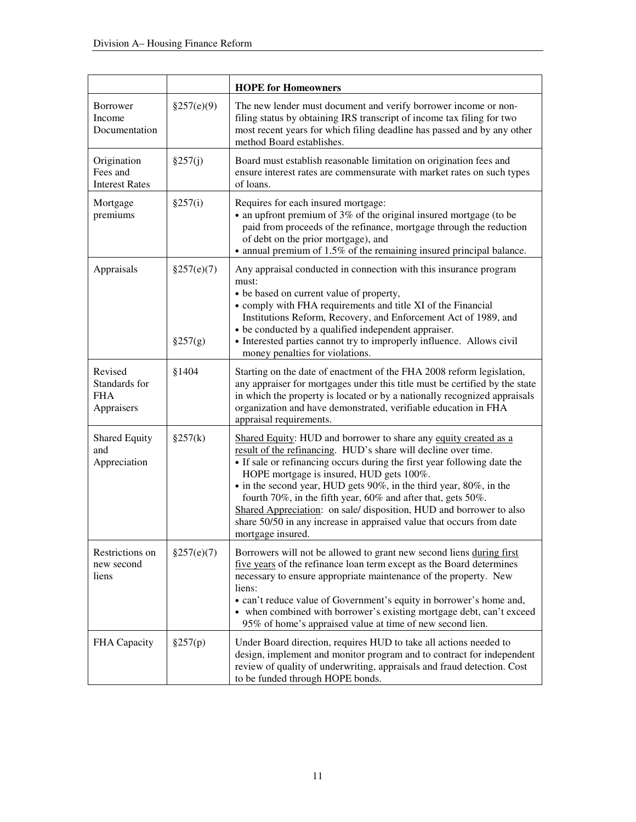|                                                      |                       | <b>HOPE for Homeowners</b>                                                                                                                                                                                                                                                                                                                                                                                                                                                                                                                                           |
|------------------------------------------------------|-----------------------|----------------------------------------------------------------------------------------------------------------------------------------------------------------------------------------------------------------------------------------------------------------------------------------------------------------------------------------------------------------------------------------------------------------------------------------------------------------------------------------------------------------------------------------------------------------------|
| Borrower<br>Income<br>Documentation                  | §257(e)(9)            | The new lender must document and verify borrower income or non-<br>filing status by obtaining IRS transcript of income tax filing for two<br>most recent years for which filing deadline has passed and by any other<br>method Board establishes.                                                                                                                                                                                                                                                                                                                    |
| Origination<br>Fees and<br><b>Interest Rates</b>     | §257(j)               | Board must establish reasonable limitation on origination fees and<br>ensure interest rates are commensurate with market rates on such types<br>of loans.                                                                                                                                                                                                                                                                                                                                                                                                            |
| Mortgage<br>premiums                                 | §257(i)               | Requires for each insured mortgage:<br>• an upfront premium of 3% of the original insured mortgage (to be<br>paid from proceeds of the refinance, mortgage through the reduction<br>of debt on the prior mortgage), and<br>• annual premium of 1.5% of the remaining insured principal balance.                                                                                                                                                                                                                                                                      |
| Appraisals                                           | §257(e)(7)<br>§257(g) | Any appraisal conducted in connection with this insurance program<br>must:<br>• be based on current value of property,<br>• comply with FHA requirements and title XI of the Financial<br>Institutions Reform, Recovery, and Enforcement Act of 1989, and<br>• be conducted by a qualified independent appraiser.<br>• Interested parties cannot try to improperly influence. Allows civil<br>money penalties for violations.                                                                                                                                        |
| Revised<br>Standards for<br><b>FHA</b><br>Appraisers | §1404                 | Starting on the date of enactment of the FHA 2008 reform legislation,<br>any appraiser for mortgages under this title must be certified by the state<br>in which the property is located or by a nationally recognized appraisals<br>organization and have demonstrated, verifiable education in FHA<br>appraisal requirements.                                                                                                                                                                                                                                      |
| <b>Shared Equity</b><br>and<br>Appreciation          | §257(k)               | Shared Equity: HUD and borrower to share any equity created as a<br>result of the refinancing. HUD's share will decline over time.<br>• If sale or refinancing occurs during the first year following date the<br>HOPE mortgage is insured, HUD gets 100%.<br>• in the second year, HUD gets 90%, in the third year, 80%, in the<br>fourth 70%, in the fifth year, 60% and after that, gets 50%.<br>Shared Appreciation: on sale/ disposition, HUD and borrower to also<br>share 50/50 in any increase in appraised value that occurs from date<br>mortgage insured. |
| Restrictions on<br>new second<br>liens               | §257(e)(7)            | Borrowers will not be allowed to grant new second liens during first<br>five years of the refinance loan term except as the Board determines<br>necessary to ensure appropriate maintenance of the property. New<br>liens:<br>• can't reduce value of Government's equity in borrower's home and,<br>• when combined with borrower's existing mortgage debt, can't exceed<br>95% of home's appraised value at time of new second lien.                                                                                                                               |
| FHA Capacity                                         | §257(p)               | Under Board direction, requires HUD to take all actions needed to<br>design, implement and monitor program and to contract for independent<br>review of quality of underwriting, appraisals and fraud detection. Cost<br>to be funded through HOPE bonds.                                                                                                                                                                                                                                                                                                            |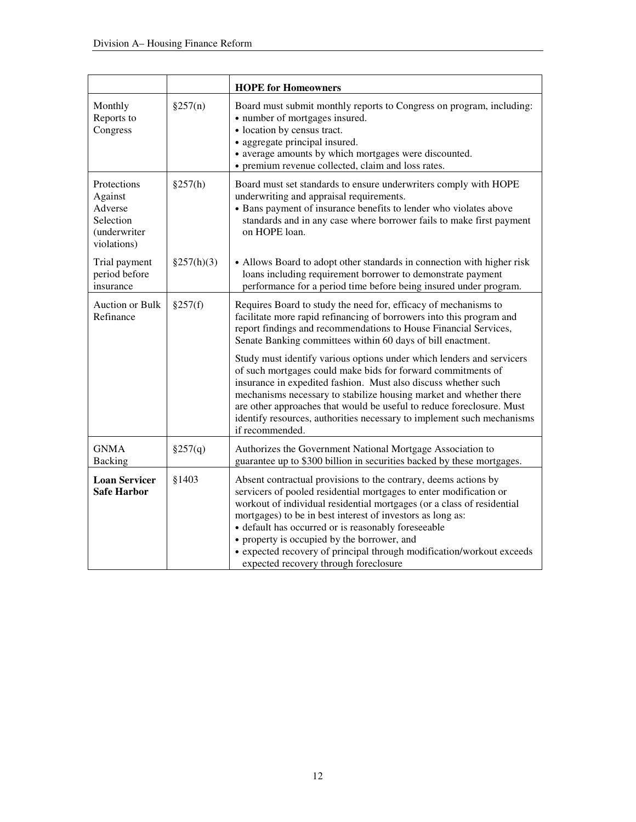|                                                                               |            | <b>HOPE for Homeowners</b>                                                                                                                                                                                                                                                                                                                                                                                                                                                                                                                                                                                                                                                                                                        |
|-------------------------------------------------------------------------------|------------|-----------------------------------------------------------------------------------------------------------------------------------------------------------------------------------------------------------------------------------------------------------------------------------------------------------------------------------------------------------------------------------------------------------------------------------------------------------------------------------------------------------------------------------------------------------------------------------------------------------------------------------------------------------------------------------------------------------------------------------|
| Monthly<br>Reports to<br>Congress                                             | §257(n)    | Board must submit monthly reports to Congress on program, including:<br>• number of mortgages insured.<br>• location by census tract.<br>• aggregate principal insured.<br>• average amounts by which mortgages were discounted.<br>• premium revenue collected, claim and loss rates.                                                                                                                                                                                                                                                                                                                                                                                                                                            |
| Protections<br>Against<br>Adverse<br>Selection<br>(underwriter<br>violations) | §257(h)    | Board must set standards to ensure underwriters comply with HOPE<br>underwriting and appraisal requirements.<br>• Bans payment of insurance benefits to lender who violates above<br>standards and in any case where borrower fails to make first payment<br>on HOPE loan.                                                                                                                                                                                                                                                                                                                                                                                                                                                        |
| Trial payment<br>period before<br>insurance                                   | §257(h)(3) | • Allows Board to adopt other standards in connection with higher risk<br>loans including requirement borrower to demonstrate payment<br>performance for a period time before being insured under program.                                                                                                                                                                                                                                                                                                                                                                                                                                                                                                                        |
| <b>Auction or Bulk</b><br>Refinance                                           | §257(f)    | Requires Board to study the need for, efficacy of mechanisms to<br>facilitate more rapid refinancing of borrowers into this program and<br>report findings and recommendations to House Financial Services,<br>Senate Banking committees within 60 days of bill enactment.<br>Study must identify various options under which lenders and servicers<br>of such mortgages could make bids for forward commitments of<br>insurance in expedited fashion. Must also discuss whether such<br>mechanisms necessary to stabilize housing market and whether there<br>are other approaches that would be useful to reduce foreclosure. Must<br>identify resources, authorities necessary to implement such mechanisms<br>if recommended. |
| <b>GNMA</b><br><b>Backing</b>                                                 | §257(q)    | Authorizes the Government National Mortgage Association to<br>guarantee up to \$300 billion in securities backed by these mortgages.                                                                                                                                                                                                                                                                                                                                                                                                                                                                                                                                                                                              |
| <b>Loan Servicer</b><br><b>Safe Harbor</b>                                    | §1403      | Absent contractual provisions to the contrary, deems actions by<br>servicers of pooled residential mortgages to enter modification or<br>workout of individual residential mortgages (or a class of residential<br>mortgages) to be in best interest of investors as long as:<br>• default has occurred or is reasonably foreseeable<br>• property is occupied by the borrower, and<br>• expected recovery of principal through modification/workout exceeds<br>expected recovery through foreclosure                                                                                                                                                                                                                             |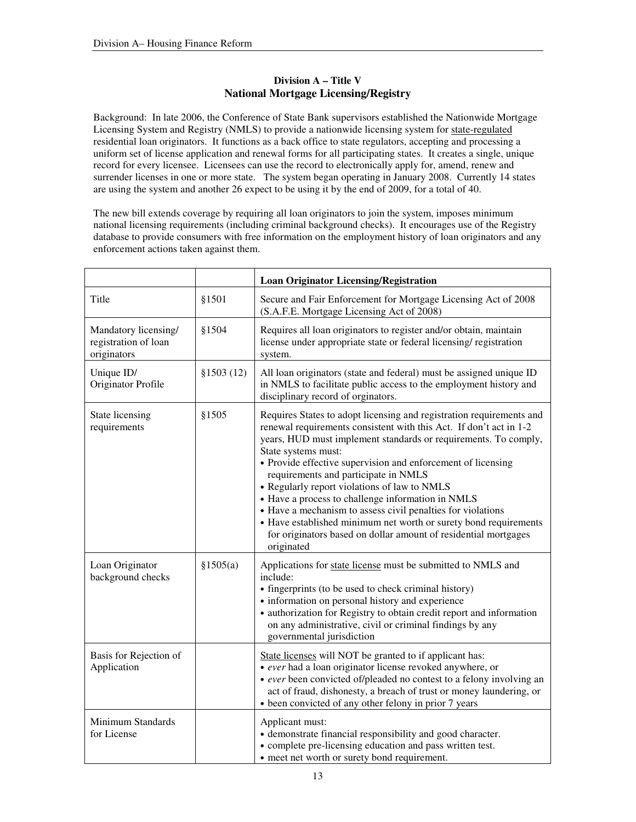### **Division A – Title V National Mortgage Licensing/Registry**

Background: In late 2006, the Conference of State Bank supervisors established the Nationwide Mortgage Licensing System and Registry (NMLS) to provide a nationwide licensing system for state-regulated residential loan originators. It functions as a back office to state regulators, accepting and processing a uniform set of license application and renewal forms for all participating states. It creates a single, unique record for every licensee. Licensees can use the record to electronically apply for, amend, renew and surrender licenses in one or more state. The system began operating in January 2008. Currently 14 states are using the system and another 26 expect to be using it by the end of 2009, for a total of 40.

The new bill extends coverage by requiring all loan originators to join the system, imposes minimum national licensing requirements (including criminal background checks). It encourages use of the Registry database to provide consumers with free information on the employment history of loan originators and any enforcement actions taken against them.

|                                                             |            | <b>Loan Originator Licensing/Registration</b>                                                                                                                                                                                                                                                                                                                                                                                                                                                                                                                                                                                                                         |
|-------------------------------------------------------------|------------|-----------------------------------------------------------------------------------------------------------------------------------------------------------------------------------------------------------------------------------------------------------------------------------------------------------------------------------------------------------------------------------------------------------------------------------------------------------------------------------------------------------------------------------------------------------------------------------------------------------------------------------------------------------------------|
| Title                                                       | §1501      | Secure and Fair Enforcement for Mortgage Licensing Act of 2008<br>(S.A.F.E. Mortgage Licensing Act of 2008)                                                                                                                                                                                                                                                                                                                                                                                                                                                                                                                                                           |
| Mandatory licensing/<br>registration of loan<br>originators | §1504      | Requires all loan originators to register and/or obtain, maintain<br>license under appropriate state or federal licensing/registration<br>system.                                                                                                                                                                                                                                                                                                                                                                                                                                                                                                                     |
| Unique ID/<br>Originator Profile                            | \$1503(12) | All loan originators (state and federal) must be assigned unique ID<br>in NMLS to facilitate public access to the employment history and<br>disciplinary record of orginators.                                                                                                                                                                                                                                                                                                                                                                                                                                                                                        |
| State licensing<br>requirements                             | §1505      | Requires States to adopt licensing and registration requirements and<br>renewal requirements consistent with this Act. If don't act in 1-2<br>years, HUD must implement standards or requirements. To comply,<br>State systems must:<br>• Provide effective supervision and enforcement of licensing<br>requirements and participate in NMLS<br>• Regularly report violations of law to NMLS<br>• Have a process to challenge information in NMLS<br>• Have a mechanism to assess civil penalties for violations<br>• Have established minimum net worth or surety bond requirements<br>for originators based on dollar amount of residential mortgages<br>originated |
| Loan Originator<br>background checks                        | §1505(a)   | Applications for state license must be submitted to NMLS and<br>include:<br>• fingerprints (to be used to check criminal history)<br>• information on personal history and experience<br>• authorization for Registry to obtain credit report and information<br>on any administrative, civil or criminal findings by any<br>governmental jurisdiction                                                                                                                                                                                                                                                                                                                |
| Basis for Rejection of<br>Application                       |            | State licenses will NOT be granted to if applicant has:<br>• ever had a loan originator license revoked anywhere, or<br>• ever been convicted of/pleaded no contest to a felony involving an<br>act of fraud, dishonesty, a breach of trust or money laundering, or<br>• been convicted of any other felony in prior 7 years                                                                                                                                                                                                                                                                                                                                          |
| Minimum Standards<br>for License                            |            | Applicant must:<br>• demonstrate financial responsibility and good character.<br>• complete pre-licensing education and pass written test.<br>• meet net worth or surety bond requirement.                                                                                                                                                                                                                                                                                                                                                                                                                                                                            |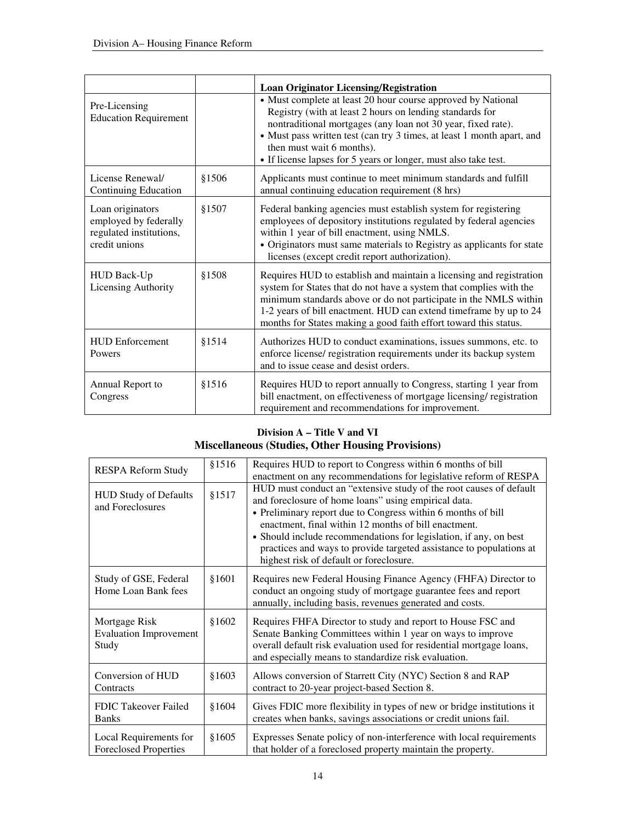|                                                                                       |       | <b>Loan Originator Licensing/Registration</b>                                                                                                                                                                                                                                                                                                                      |
|---------------------------------------------------------------------------------------|-------|--------------------------------------------------------------------------------------------------------------------------------------------------------------------------------------------------------------------------------------------------------------------------------------------------------------------------------------------------------------------|
| Pre-Licensing<br><b>Education Requirement</b>                                         |       | • Must complete at least 20 hour course approved by National<br>Registry (with at least 2 hours on lending standards for<br>nontraditional mortgages (any loan not 30 year, fixed rate).<br>• Must pass written test (can try 3 times, at least 1 month apart, and<br>then must wait 6 months).<br>• If license lapses for 5 years or longer, must also take test. |
| License Renewal/<br><b>Continuing Education</b>                                       | §1506 | Applicants must continue to meet minimum standards and fulfill<br>annual continuing education requirement (8 hrs)                                                                                                                                                                                                                                                  |
| Loan originators<br>employed by federally<br>regulated institutions,<br>credit unions | §1507 | Federal banking agencies must establish system for registering<br>employees of depository institutions regulated by federal agencies<br>within 1 year of bill enactment, using NMLS.<br>• Originators must same materials to Registry as applicants for state<br>licenses (except credit report authorization).                                                    |
| <b>HUD Back-Up</b><br>Licensing Authority                                             | §1508 | Requires HUD to establish and maintain a licensing and registration<br>system for States that do not have a system that complies with the<br>minimum standards above or do not participate in the NMLS within<br>1-2 years of bill enactment. HUD can extend timeframe by up to 24<br>months for States making a good faith effort toward this status.             |
| <b>HUD Enforcement</b><br>Powers                                                      | §1514 | Authorizes HUD to conduct examinations, issues summons, etc. to<br>enforce license/ registration requirements under its backup system<br>and to issue cease and desist orders.                                                                                                                                                                                     |
| Annual Report to<br>Congress                                                          | §1516 | Requires HUD to report annually to Congress, starting 1 year from<br>bill enactment, on effectiveness of mortgage licensing/registration<br>requirement and recommendations for improvement.                                                                                                                                                                       |

## **Division A – Title V and VI Miscellaneous (Studies, Other Housing Provisions)**

| RESPA Reform Study                                      | \$1516 | Requires HUD to report to Congress within 6 months of bill<br>enactment on any recommendations for legislative reform of RESPA                                                                                                                                                                                                                                                                                                            |
|---------------------------------------------------------|--------|-------------------------------------------------------------------------------------------------------------------------------------------------------------------------------------------------------------------------------------------------------------------------------------------------------------------------------------------------------------------------------------------------------------------------------------------|
| <b>HUD Study of Defaults</b><br>and Foreclosures        | §1517  | HUD must conduct an "extensive study of the root causes of default<br>and foreclosure of home loans" using empirical data.<br>• Preliminary report due to Congress within 6 months of bill<br>enactment, final within 12 months of bill enactment.<br>• Should include recommendations for legislation, if any, on best<br>practices and ways to provide targeted assistance to populations at<br>highest risk of default or foreclosure. |
| Study of GSE, Federal<br>Home Loan Bank fees            | \$1601 | Requires new Federal Housing Finance Agency (FHFA) Director to<br>conduct an ongoing study of mortgage guarantee fees and report<br>annually, including basis, revenues generated and costs.                                                                                                                                                                                                                                              |
| Mortgage Risk<br><b>Evaluation Improvement</b><br>Study | \$1602 | Requires FHFA Director to study and report to House FSC and<br>Senate Banking Committees within 1 year on ways to improve<br>overall default risk evaluation used for residential mortgage loans,<br>and especially means to standardize risk evaluation.                                                                                                                                                                                 |
| Conversion of HUD<br>Contracts                          | \$1603 | Allows conversion of Starrett City (NYC) Section 8 and RAP<br>contract to 20-year project-based Section 8.                                                                                                                                                                                                                                                                                                                                |
| FDIC Takeover Failed<br><b>Banks</b>                    | \$1604 | Gives FDIC more flexibility in types of new or bridge institutions it<br>creates when banks, savings associations or credit unions fail.                                                                                                                                                                                                                                                                                                  |
| Local Requirements for<br><b>Foreclosed Properties</b>  | \$1605 | Expresses Senate policy of non-interference with local requirements<br>that holder of a foreclosed property maintain the property.                                                                                                                                                                                                                                                                                                        |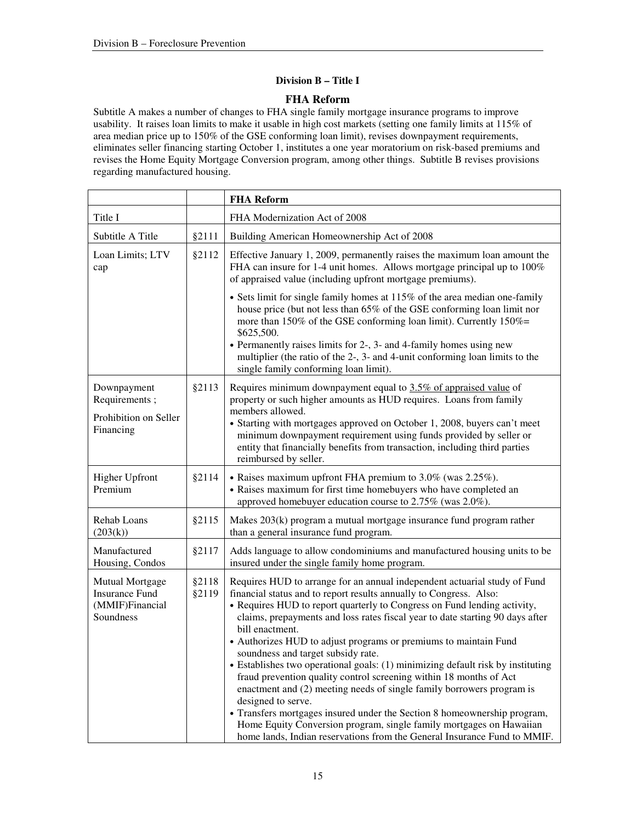### **Division B – Title I**

### **FHA Reform**

Subtitle A makes a number of changes to FHA single family mortgage insurance programs to improve usability. It raises loan limits to make it usable in high cost markets (setting one family limits at 115% of area median price up to 150% of the GSE conforming loan limit), revises downpayment requirements, eliminates seller financing starting October 1, institutes a one year moratorium on risk-based premiums and revises the Home Equity Mortgage Conversion program, among other things. Subtitle B revises provisions regarding manufactured housing.

|                                                                                 |                | <b>FHA Reform</b>                                                                                                                                                                                                                                                                                                                                                                                                                                                                                                                                                                                                                                                                                                                                                                                                                                                                                                                |
|---------------------------------------------------------------------------------|----------------|----------------------------------------------------------------------------------------------------------------------------------------------------------------------------------------------------------------------------------------------------------------------------------------------------------------------------------------------------------------------------------------------------------------------------------------------------------------------------------------------------------------------------------------------------------------------------------------------------------------------------------------------------------------------------------------------------------------------------------------------------------------------------------------------------------------------------------------------------------------------------------------------------------------------------------|
| Title I                                                                         |                | FHA Modernization Act of 2008                                                                                                                                                                                                                                                                                                                                                                                                                                                                                                                                                                                                                                                                                                                                                                                                                                                                                                    |
| Subtitle A Title                                                                | §2111          | Building American Homeownership Act of 2008                                                                                                                                                                                                                                                                                                                                                                                                                                                                                                                                                                                                                                                                                                                                                                                                                                                                                      |
| Loan Limits; LTV<br>cap                                                         | §2112          | Effective January 1, 2009, permanently raises the maximum loan amount the<br>FHA can insure for 1-4 unit homes. Allows mortgage principal up to 100%<br>of appraised value (including upfront mortgage premiums).                                                                                                                                                                                                                                                                                                                                                                                                                                                                                                                                                                                                                                                                                                                |
|                                                                                 |                | • Sets limit for single family homes at 115% of the area median one-family<br>house price (but not less than 65% of the GSE conforming loan limit nor<br>more than 150% of the GSE conforming loan limit). Currently 150%=<br>\$625,500.<br>• Permanently raises limits for 2-, 3- and 4-family homes using new<br>multiplier (the ratio of the 2-, 3- and 4-unit conforming loan limits to the<br>single family conforming loan limit).                                                                                                                                                                                                                                                                                                                                                                                                                                                                                         |
| Downpayment<br>Requirements;<br>Prohibition on Seller<br>Financing              | §2113          | Requires minimum downpayment equal to 3.5% of appraised value of<br>property or such higher amounts as HUD requires. Loans from family<br>members allowed.<br>• Starting with mortgages approved on October 1, 2008, buyers can't meet<br>minimum downpayment requirement using funds provided by seller or<br>entity that financially benefits from transaction, including third parties<br>reimbursed by seller.                                                                                                                                                                                                                                                                                                                                                                                                                                                                                                               |
| <b>Higher Upfront</b><br>Premium                                                | §2114          | • Raises maximum upfront FHA premium to 3.0% (was 2.25%).<br>• Raises maximum for first time homebuyers who have completed an<br>approved homebuyer education course to 2.75% (was 2.0%).                                                                                                                                                                                                                                                                                                                                                                                                                                                                                                                                                                                                                                                                                                                                        |
| Rehab Loans<br>(203(k))                                                         | §2115          | Makes 203(k) program a mutual mortgage insurance fund program rather<br>than a general insurance fund program.                                                                                                                                                                                                                                                                                                                                                                                                                                                                                                                                                                                                                                                                                                                                                                                                                   |
| Manufactured<br>Housing, Condos                                                 | §2117          | Adds language to allow condominiums and manufactured housing units to be<br>insured under the single family home program.                                                                                                                                                                                                                                                                                                                                                                                                                                                                                                                                                                                                                                                                                                                                                                                                        |
| <b>Mutual Mortgage</b><br><b>Insurance Fund</b><br>(MMIF)Financial<br>Soundness | §2118<br>§2119 | Requires HUD to arrange for an annual independent actuarial study of Fund<br>financial status and to report results annually to Congress. Also:<br>• Requires HUD to report quarterly to Congress on Fund lending activity,<br>claims, prepayments and loss rates fiscal year to date starting 90 days after<br>bill enactment.<br>• Authorizes HUD to adjust programs or premiums to maintain Fund<br>soundness and target subsidy rate.<br>• Establishes two operational goals: (1) minimizing default risk by instituting<br>fraud prevention quality control screening within 18 months of Act<br>enactment and (2) meeting needs of single family borrowers program is<br>designed to serve.<br>• Transfers mortgages insured under the Section 8 homeownership program,<br>Home Equity Conversion program, single family mortgages on Hawaiian<br>home lands, Indian reservations from the General Insurance Fund to MMIF. |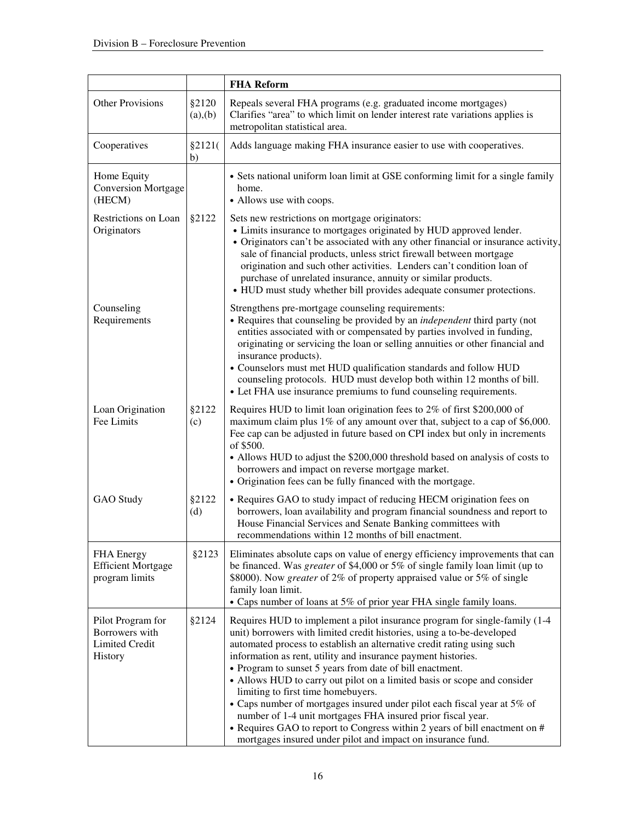|                                                                         |                   | <b>FHA Reform</b>                                                                                                                                                                                                                                                                                                                                                                                                                                                                                                                                                                                                                                                                                                                                                     |
|-------------------------------------------------------------------------|-------------------|-----------------------------------------------------------------------------------------------------------------------------------------------------------------------------------------------------------------------------------------------------------------------------------------------------------------------------------------------------------------------------------------------------------------------------------------------------------------------------------------------------------------------------------------------------------------------------------------------------------------------------------------------------------------------------------------------------------------------------------------------------------------------|
| <b>Other Provisions</b>                                                 | §2120<br>(a), (b) | Repeals several FHA programs (e.g. graduated income mortgages)<br>Clarifies "area" to which limit on lender interest rate variations applies is<br>metropolitan statistical area.                                                                                                                                                                                                                                                                                                                                                                                                                                                                                                                                                                                     |
| Cooperatives                                                            | \$2121(<br>b)     | Adds language making FHA insurance easier to use with cooperatives.                                                                                                                                                                                                                                                                                                                                                                                                                                                                                                                                                                                                                                                                                                   |
| Home Equity<br><b>Conversion Mortgage</b><br>(HECM)                     |                   | • Sets national uniform loan limit at GSE conforming limit for a single family<br>home.<br>• Allows use with coops.                                                                                                                                                                                                                                                                                                                                                                                                                                                                                                                                                                                                                                                   |
| Restrictions on Loan<br>Originators                                     | §2122             | Sets new restrictions on mortgage originators:<br>• Limits insurance to mortgages originated by HUD approved lender.<br>• Originators can't be associated with any other financial or insurance activity,<br>sale of financial products, unless strict firewall between mortgage<br>origination and such other activities. Lenders can't condition loan of<br>purchase of unrelated insurance, annuity or similar products.<br>• HUD must study whether bill provides adequate consumer protections.                                                                                                                                                                                                                                                                  |
| Counseling<br>Requirements                                              |                   | Strengthens pre-mortgage counseling requirements:<br>• Requires that counseling be provided by an <i>independent</i> third party (not<br>entities associated with or compensated by parties involved in funding,<br>originating or servicing the loan or selling annuities or other financial and<br>insurance products).<br>• Counselors must met HUD qualification standards and follow HUD<br>counseling protocols. HUD must develop both within 12 months of bill.<br>• Let FHA use insurance premiums to fund counseling requirements.                                                                                                                                                                                                                           |
| Loan Origination<br>Fee Limits                                          | §2122<br>(c)      | Requires HUD to limit loan origination fees to 2% of first \$200,000 of<br>maximum claim plus 1% of any amount over that, subject to a cap of \$6,000.<br>Fee cap can be adjusted in future based on CPI index but only in increments<br>of \$500.<br>• Allows HUD to adjust the \$200,000 threshold based on analysis of costs to<br>borrowers and impact on reverse mortgage market.<br>• Origination fees can be fully financed with the mortgage.                                                                                                                                                                                                                                                                                                                 |
| GAO Study                                                               | §2122<br>(d)      | • Requires GAO to study impact of reducing HECM origination fees on<br>borrowers, loan availability and program financial soundness and report to<br>House Financial Services and Senate Banking committees with<br>recommendations within 12 months of bill enactment.                                                                                                                                                                                                                                                                                                                                                                                                                                                                                               |
| FHA Energy<br><b>Efficient Mortgage</b><br>program limits               | §2123             | Eliminates absolute caps on value of energy efficiency improvements that can<br>be financed. Was greater of \$4,000 or 5% of single family loan limit (up to<br>\$8000). Now <i>greater</i> of 2% of property appraised value or 5% of single<br>family loan limit.<br>• Caps number of loans at 5% of prior year FHA single family loans.                                                                                                                                                                                                                                                                                                                                                                                                                            |
| Pilot Program for<br>Borrowers with<br><b>Limited Credit</b><br>History | §2124             | Requires HUD to implement a pilot insurance program for single-family (1-4<br>unit) borrowers with limited credit histories, using a to-be-developed<br>automated process to establish an alternative credit rating using such<br>information as rent, utility and insurance payment histories.<br>• Program to sunset 5 years from date of bill enactment.<br>• Allows HUD to carry out pilot on a limited basis or scope and consider<br>limiting to first time homebuyers.<br>• Caps number of mortgages insured under pilot each fiscal year at 5% of<br>number of 1-4 unit mortgages FHA insured prior fiscal year.<br>• Requires GAO to report to Congress within 2 years of bill enactment on #<br>mortgages insured under pilot and impact on insurance fund. |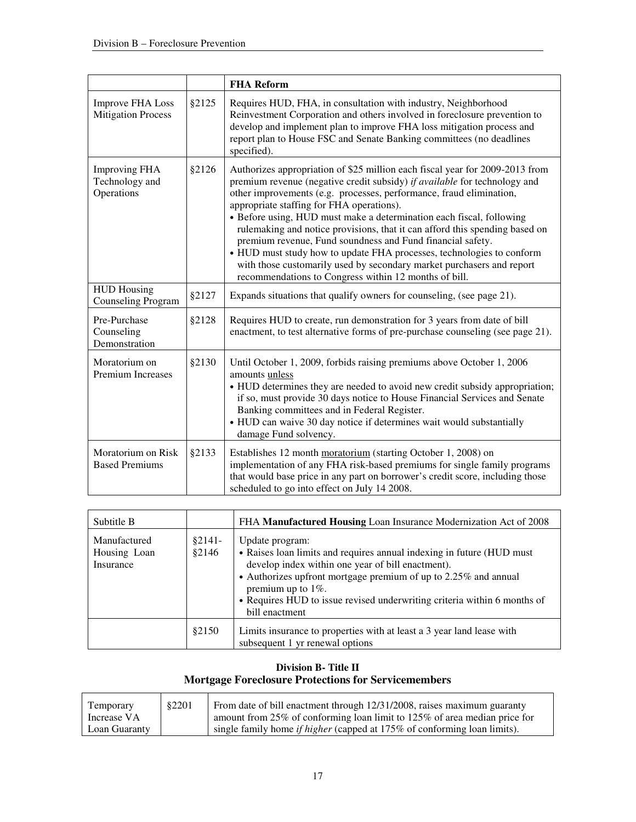|                                                      |        | <b>FHA Reform</b>                                                                                                                                                                                                                                                                                                                                                                                                                                                                                                                                                                                                                                                                                             |
|------------------------------------------------------|--------|---------------------------------------------------------------------------------------------------------------------------------------------------------------------------------------------------------------------------------------------------------------------------------------------------------------------------------------------------------------------------------------------------------------------------------------------------------------------------------------------------------------------------------------------------------------------------------------------------------------------------------------------------------------------------------------------------------------|
| <b>Improve FHA Loss</b><br><b>Mitigation Process</b> | \$2125 | Requires HUD, FHA, in consultation with industry, Neighborhood<br>Reinvestment Corporation and others involved in foreclosure prevention to<br>develop and implement plan to improve FHA loss mitigation process and<br>report plan to House FSC and Senate Banking committees (no deadlines<br>specified).                                                                                                                                                                                                                                                                                                                                                                                                   |
| <b>Improving FHA</b><br>Technology and<br>Operations | §2126  | Authorizes appropriation of \$25 million each fiscal year for 2009-2013 from<br>premium revenue (negative credit subsidy) if available for technology and<br>other improvements (e.g. processes, performance, fraud elimination,<br>appropriate staffing for FHA operations).<br>• Before using, HUD must make a determination each fiscal, following<br>rulemaking and notice provisions, that it can afford this spending based on<br>premium revenue, Fund soundness and Fund financial safety.<br>• HUD must study how to update FHA processes, technologies to conform<br>with those customarily used by secondary market purchasers and report<br>recommendations to Congress within 12 months of bill. |
| <b>HUD Housing</b><br><b>Counseling Program</b>      | §2127  | Expands situations that qualify owners for counseling, (see page 21).                                                                                                                                                                                                                                                                                                                                                                                                                                                                                                                                                                                                                                         |
| Pre-Purchase<br>Counseling<br>Demonstration          | §2128  | Requires HUD to create, run demonstration for 3 years from date of bill<br>enactment, to test alternative forms of pre-purchase counseling (see page 21).                                                                                                                                                                                                                                                                                                                                                                                                                                                                                                                                                     |
| Moratorium on<br><b>Premium Increases</b>            | §2130  | Until October 1, 2009, forbids raising premiums above October 1, 2006<br>amounts unless<br>• HUD determines they are needed to avoid new credit subsidy appropriation;<br>if so, must provide 30 days notice to House Financial Services and Senate<br>Banking committees and in Federal Register.<br>• HUD can waive 30 day notice if determines wait would substantially<br>damage Fund solvency.                                                                                                                                                                                                                                                                                                           |
| Moratorium on Risk<br><b>Based Premiums</b>          | §2133  | Establishes 12 month moratorium (starting October 1, 2008) on<br>implementation of any FHA risk-based premiums for single family programs<br>that would base price in any part on borrower's credit score, including those<br>scheduled to go into effect on July 14 2008.                                                                                                                                                                                                                                                                                                                                                                                                                                    |

| Subtitle B                                |                    | FHA <b>Manufactured Housing</b> Loan Insurance Modernization Act of 2008                                                                                                                                                                                                                                                                |
|-------------------------------------------|--------------------|-----------------------------------------------------------------------------------------------------------------------------------------------------------------------------------------------------------------------------------------------------------------------------------------------------------------------------------------|
| Manufactured<br>Housing Loan<br>Insurance | $§2141-$<br>\$2146 | Update program:<br>• Raises loan limits and requires annual indexing in future (HUD must<br>develop index within one year of bill enactment).<br>• Authorizes upfront mortgage premium of up to 2.25% and annual<br>premium up to $1\%$ .<br>• Requires HUD to issue revised underwriting criteria within 6 months of<br>bill enactment |
|                                           | \$2150             | Limits insurance to properties with at least a 3 year land lease with<br>subsequent 1 yr renewal options                                                                                                                                                                                                                                |

# **Division B- Title II Mortgage Foreclosure Protections for Servicemembers**

| Temporary     | §2201 | From date of bill enactment through 12/31/2008, raises maximum guaranty         |
|---------------|-------|---------------------------------------------------------------------------------|
| Increase VA   |       | amount from 25% of conforming loan limit to 125% of area median price for       |
| Loan Guaranty |       | single family home <i>if higher</i> (capped at 175% of conforming loan limits). |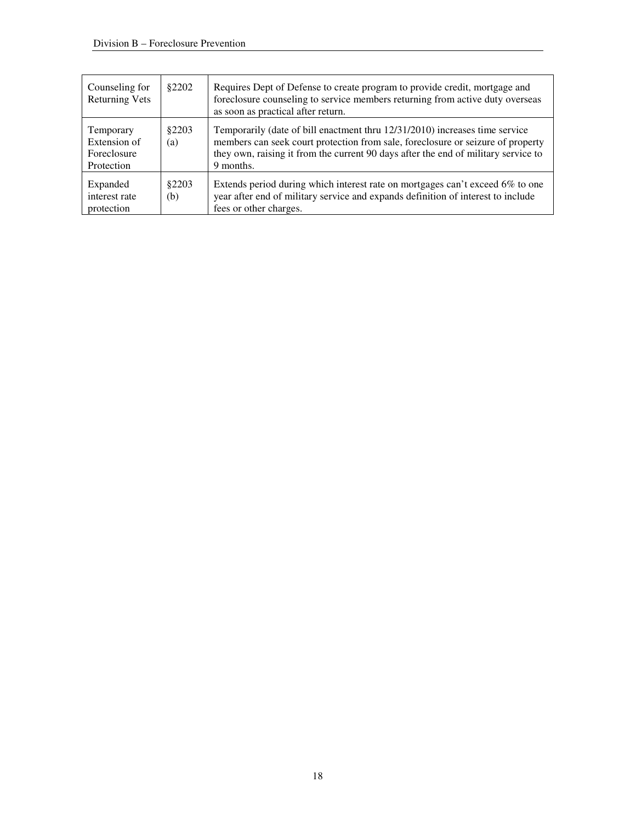| Counseling for<br><b>Returning Vets</b>                | \$2202        | Requires Dept of Defense to create program to provide credit, mortgage and<br>foreclosure counseling to service members returning from active duty overseas<br>as soon as practical after return.                                                                 |
|--------------------------------------------------------|---------------|-------------------------------------------------------------------------------------------------------------------------------------------------------------------------------------------------------------------------------------------------------------------|
| Temporary<br>Extension of<br>Foreclosure<br>Protection | \$2203<br>(a) | Temporarily (date of bill enactment thru 12/31/2010) increases time service<br>members can seek court protection from sale, foreclosure or seizure of property<br>they own, raising it from the current 90 days after the end of military service to<br>9 months. |
| Expanded<br>interest rate<br>protection                | \$2203<br>(b) | Extends period during which interest rate on mortgages can't exceed 6% to one<br>year after end of military service and expands definition of interest to include<br>fees or other charges.                                                                       |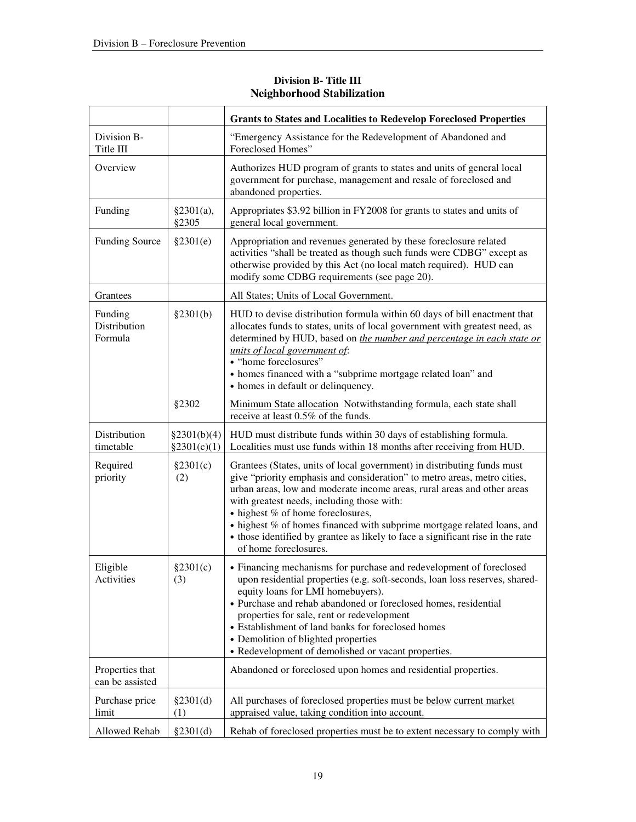|                                    |                            | <b>Grants to States and Localities to Redevelop Foreclosed Properties</b>                                                                                                                                                                                                                                                                                                                                                                                    |
|------------------------------------|----------------------------|--------------------------------------------------------------------------------------------------------------------------------------------------------------------------------------------------------------------------------------------------------------------------------------------------------------------------------------------------------------------------------------------------------------------------------------------------------------|
| Division B-<br>Title III           |                            | "Emergency Assistance for the Redevelopment of Abandoned and<br>Foreclosed Homes"                                                                                                                                                                                                                                                                                                                                                                            |
| Overview                           |                            | Authorizes HUD program of grants to states and units of general local<br>government for purchase, management and resale of foreclosed and<br>abandoned properties.                                                                                                                                                                                                                                                                                           |
| Funding                            | §2301(a),<br>§2305         | Appropriates \$3.92 billion in FY2008 for grants to states and units of<br>general local government.                                                                                                                                                                                                                                                                                                                                                         |
| <b>Funding Source</b>              | §2301(e)                   | Appropriation and revenues generated by these foreclosure related<br>activities "shall be treated as though such funds were CDBG" except as<br>otherwise provided by this Act (no local match required). HUD can<br>modify some CDBG requirements (see page 20).                                                                                                                                                                                             |
| Grantees                           |                            | All States; Units of Local Government.                                                                                                                                                                                                                                                                                                                                                                                                                       |
| Funding<br>Distribution<br>Formula | §2301(b)                   | HUD to devise distribution formula within 60 days of bill enactment that<br>allocates funds to states, units of local government with greatest need, as<br>determined by HUD, based on <i>the number and percentage in each state or</i><br>units of local government of:<br>• "home foreclosures"<br>• homes financed with a "subprime mortgage related loan" and<br>• homes in default or delinquency.                                                     |
|                                    | §2302                      | Minimum State allocation Notwithstanding formula, each state shall<br>receive at least 0.5% of the funds.                                                                                                                                                                                                                                                                                                                                                    |
| Distribution<br>timetable          | §2301(b)(4)<br>§2301(c)(1) | HUD must distribute funds within 30 days of establishing formula.<br>Localities must use funds within 18 months after receiving from HUD.                                                                                                                                                                                                                                                                                                                    |
| Required<br>priority               | §2301(c)<br>(2)            | Grantees (States, units of local government) in distributing funds must<br>give "priority emphasis and consideration" to metro areas, metro cities,<br>urban areas, low and moderate income areas, rural areas and other areas<br>with greatest needs, including those with:<br>• highest % of home foreclosures,<br>• highest % of homes financed with subprime mortgage related loans, and                                                                 |
|                                    |                            | • those identified by grantee as likely to face a significant rise in the rate<br>of home foreclosures.                                                                                                                                                                                                                                                                                                                                                      |
| Eligible<br>Activities             | §2301(c)<br>(3)            | • Financing mechanisms for purchase and redevelopment of foreclosed<br>upon residential properties (e.g. soft-seconds, loan loss reserves, shared-<br>equity loans for LMI homebuyers).<br>• Purchase and rehab abandoned or foreclosed homes, residential<br>properties for sale, rent or redevelopment<br>• Establishment of land banks for foreclosed homes<br>• Demolition of blighted properties<br>• Redevelopment of demolished or vacant properties. |
| Properties that<br>can be assisted |                            | Abandoned or foreclosed upon homes and residential properties.                                                                                                                                                                                                                                                                                                                                                                                               |
| Purchase price<br>limit            | §2301(d)<br>(1)            | All purchases of foreclosed properties must be below current market<br>appraised value, taking condition into account.                                                                                                                                                                                                                                                                                                                                       |

## **Division B- Title III Neighborhood Stabilization**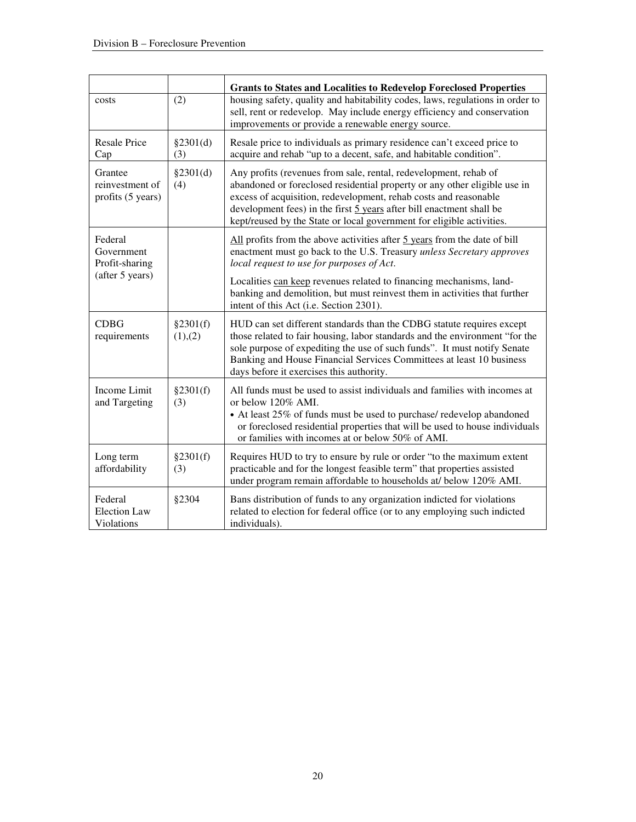|                                                 |                     | <b>Grants to States and Localities to Redevelop Foreclosed Properties</b>                                                                                                                                                                                                                                                                                          |
|-------------------------------------------------|---------------------|--------------------------------------------------------------------------------------------------------------------------------------------------------------------------------------------------------------------------------------------------------------------------------------------------------------------------------------------------------------------|
| costs                                           | (2)                 | housing safety, quality and habitability codes, laws, regulations in order to<br>sell, rent or redevelop. May include energy efficiency and conservation<br>improvements or provide a renewable energy source.                                                                                                                                                     |
| <b>Resale Price</b><br>Cap                      | §2301(d)<br>(3)     | Resale price to individuals as primary residence can't exceed price to<br>acquire and rehab "up to a decent, safe, and habitable condition".                                                                                                                                                                                                                       |
| Grantee<br>reinvestment of<br>profits (5 years) | §2301(d)<br>(4)     | Any profits (revenues from sale, rental, redevelopment, rehab of<br>abandoned or foreclosed residential property or any other eligible use in<br>excess of acquisition, redevelopment, rehab costs and reasonable<br>development fees) in the first 5 years after bill enactment shall be<br>kept/reused by the State or local government for eligible activities. |
| Federal<br>Government<br>Profit-sharing         |                     | All profits from the above activities after 5 years from the date of bill<br>enactment must go back to the U.S. Treasury unless Secretary approves<br>local request to use for purposes of Act.                                                                                                                                                                    |
| (after 5 years)                                 |                     | Localities can keep revenues related to financing mechanisms, land-<br>banking and demolition, but must reinvest them in activities that further<br>intent of this Act (i.e. Section 2301).                                                                                                                                                                        |
| <b>CDBG</b><br>requirements                     | §2301(f)<br>(1),(2) | HUD can set different standards than the CDBG statute requires except<br>those related to fair housing, labor standards and the environment "for the<br>sole purpose of expediting the use of such funds". It must notify Senate<br>Banking and House Financial Services Committees at least 10 business<br>days before it exercises this authority.               |
| Income Limit<br>and Targeting                   | §2301(f)<br>(3)     | All funds must be used to assist individuals and families with incomes at<br>or below 120% AMI.<br>• At least 25% of funds must be used to purchase/ redevelop abandoned<br>or foreclosed residential properties that will be used to house individuals<br>or families with incomes at or below 50% of AMI.                                                        |
| Long term<br>affordability                      | §2301(f)<br>(3)     | Requires HUD to try to ensure by rule or order "to the maximum extent<br>practicable and for the longest feasible term" that properties assisted<br>under program remain affordable to households at/ below 120% AMI.                                                                                                                                              |
| Federal<br><b>Election Law</b><br>Violations    | §2304               | Bans distribution of funds to any organization indicted for violations<br>related to election for federal office (or to any employing such indicted<br>individuals).                                                                                                                                                                                               |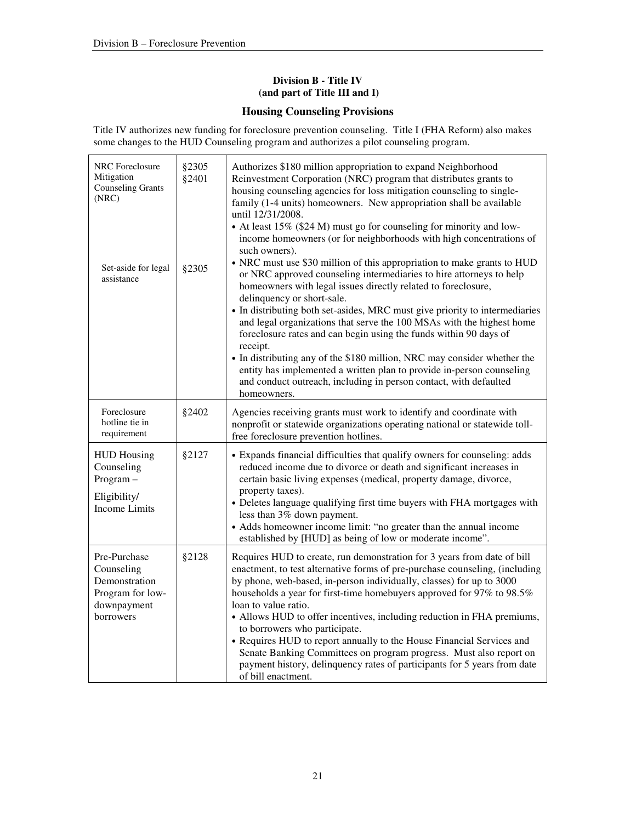### **Division B - Title IV (and part of Title III and I)**

## **Housing Counseling Provisions**

Title IV authorizes new funding for foreclosure prevention counseling. Title I (FHA Reform) also makes some changes to the HUD Counseling program and authorizes a pilot counseling program.

| NRC Foreclosure<br>Mitigation<br><b>Counseling Grants</b><br>(NRC)<br>Set-aside for legal<br>assistance | §2305<br>§2401<br>§2305 | Authorizes \$180 million appropriation to expand Neighborhood<br>Reinvestment Corporation (NRC) program that distributes grants to<br>housing counseling agencies for loss mitigation counseling to single-<br>family (1-4 units) homeowners. New appropriation shall be available<br>until $12/31/2008$ .<br>• At least 15% (\$24 M) must go for counseling for minority and low-<br>income homeowners (or for neighborhoods with high concentrations of<br>such owners).<br>• NRC must use \$30 million of this appropriation to make grants to HUD<br>or NRC approved counseling intermediaries to hire attorneys to help<br>homeowners with legal issues directly related to foreclosure,<br>delinquency or short-sale.<br>• In distributing both set-asides, MRC must give priority to intermediaries<br>and legal organizations that serve the 100 MSAs with the highest home<br>foreclosure rates and can begin using the funds within 90 days of<br>receipt.<br>• In distributing any of the \$180 million, NRC may consider whether the<br>entity has implemented a written plan to provide in-person counseling<br>and conduct outreach, including in person contact, with defaulted<br>homeowners. |
|---------------------------------------------------------------------------------------------------------|-------------------------|---------------------------------------------------------------------------------------------------------------------------------------------------------------------------------------------------------------------------------------------------------------------------------------------------------------------------------------------------------------------------------------------------------------------------------------------------------------------------------------------------------------------------------------------------------------------------------------------------------------------------------------------------------------------------------------------------------------------------------------------------------------------------------------------------------------------------------------------------------------------------------------------------------------------------------------------------------------------------------------------------------------------------------------------------------------------------------------------------------------------------------------------------------------------------------------------------------------|
| Foreclosure<br>hotline tie in<br>requirement                                                            | §2402                   | Agencies receiving grants must work to identify and coordinate with<br>nonprofit or statewide organizations operating national or statewide toll-<br>free foreclosure prevention hotlines.                                                                                                                                                                                                                                                                                                                                                                                                                                                                                                                                                                                                                                                                                                                                                                                                                                                                                                                                                                                                                    |
| <b>HUD Housing</b><br>Counseling<br>Program-<br>Eligibility/<br><b>Income Limits</b>                    | §2127                   | • Expands financial difficulties that qualify owners for counseling: adds<br>reduced income due to divorce or death and significant increases in<br>certain basic living expenses (medical, property damage, divorce,<br>property taxes).<br>• Deletes language qualifying first time buyers with FHA mortgages with<br>less than 3% down payment.<br>• Adds homeowner income limit: "no greater than the annual income<br>established by [HUD] as being of low or moderate income".                                                                                                                                                                                                                                                                                                                                                                                                                                                                                                                                                                                                                                                                                                                          |
| Pre-Purchase<br>Counseling<br>Demonstration<br>Program for low-<br>downpayment<br>borrowers             | §2128                   | Requires HUD to create, run demonstration for 3 years from date of bill<br>enactment, to test alternative forms of pre-purchase counseling, (including<br>by phone, web-based, in-person individually, classes) for up to 3000<br>households a year for first-time homebuyers approved for 97% to 98.5%<br>loan to value ratio.<br>• Allows HUD to offer incentives, including reduction in FHA premiums,<br>to borrowers who participate.<br>• Requires HUD to report annually to the House Financial Services and<br>Senate Banking Committees on program progress. Must also report on<br>payment history, delinquency rates of participants for 5 years from date<br>of bill enactment.                                                                                                                                                                                                                                                                                                                                                                                                                                                                                                                   |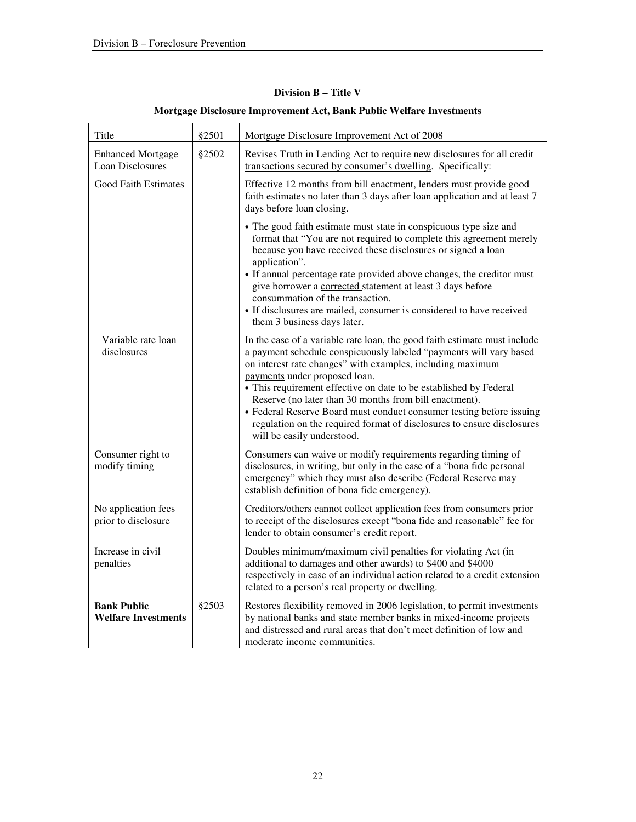## **Division B – Title V**

| Title                                            | §2501 | Mortgage Disclosure Improvement Act of 2008                                                                                                                                                                                                                                                                                                                                                                                                                                                                                                                   |
|--------------------------------------------------|-------|---------------------------------------------------------------------------------------------------------------------------------------------------------------------------------------------------------------------------------------------------------------------------------------------------------------------------------------------------------------------------------------------------------------------------------------------------------------------------------------------------------------------------------------------------------------|
| <b>Enhanced Mortgage</b><br>Loan Disclosures     | §2502 | Revises Truth in Lending Act to require new disclosures for all credit<br>transactions secured by consumer's dwelling. Specifically:                                                                                                                                                                                                                                                                                                                                                                                                                          |
| <b>Good Faith Estimates</b>                      |       | Effective 12 months from bill enactment, lenders must provide good<br>faith estimates no later than 3 days after loan application and at least 7<br>days before loan closing.                                                                                                                                                                                                                                                                                                                                                                                 |
|                                                  |       | • The good faith estimate must state in conspicuous type size and<br>format that "You are not required to complete this agreement merely<br>because you have received these disclosures or signed a loan<br>application".<br>• If annual percentage rate provided above changes, the creditor must<br>give borrower a corrected statement at least 3 days before<br>consummation of the transaction.<br>• If disclosures are mailed, consumer is considered to have received<br>them 3 business days later.                                                   |
| Variable rate loan<br>disclosures                |       | In the case of a variable rate loan, the good faith estimate must include<br>a payment schedule conspicuously labeled "payments will vary based<br>on interest rate changes" with examples, including maximum<br>payments under proposed loan.<br>• This requirement effective on date to be established by Federal<br>Reserve (no later than 30 months from bill enactment).<br>• Federal Reserve Board must conduct consumer testing before issuing<br>regulation on the required format of disclosures to ensure disclosures<br>will be easily understood. |
| Consumer right to<br>modify timing               |       | Consumers can waive or modify requirements regarding timing of<br>disclosures, in writing, but only in the case of a "bona fide personal<br>emergency" which they must also describe (Federal Reserve may<br>establish definition of bona fide emergency).                                                                                                                                                                                                                                                                                                    |
| No application fees<br>prior to disclosure       |       | Creditors/others cannot collect application fees from consumers prior<br>to receipt of the disclosures except "bona fide and reasonable" fee for<br>lender to obtain consumer's credit report.                                                                                                                                                                                                                                                                                                                                                                |
| Increase in civil<br>penalties                   |       | Doubles minimum/maximum civil penalties for violating Act (in<br>additional to damages and other awards) to \$400 and \$4000<br>respectively in case of an individual action related to a credit extension<br>related to a person's real property or dwelling.                                                                                                                                                                                                                                                                                                |
| <b>Bank Public</b><br><b>Welfare Investments</b> | §2503 | Restores flexibility removed in 2006 legislation, to permit investments<br>by national banks and state member banks in mixed-income projects<br>and distressed and rural areas that don't meet definition of low and<br>moderate income communities.                                                                                                                                                                                                                                                                                                          |

### **Mortgage Disclosure Improvement Act, Bank Public Welfare Investments**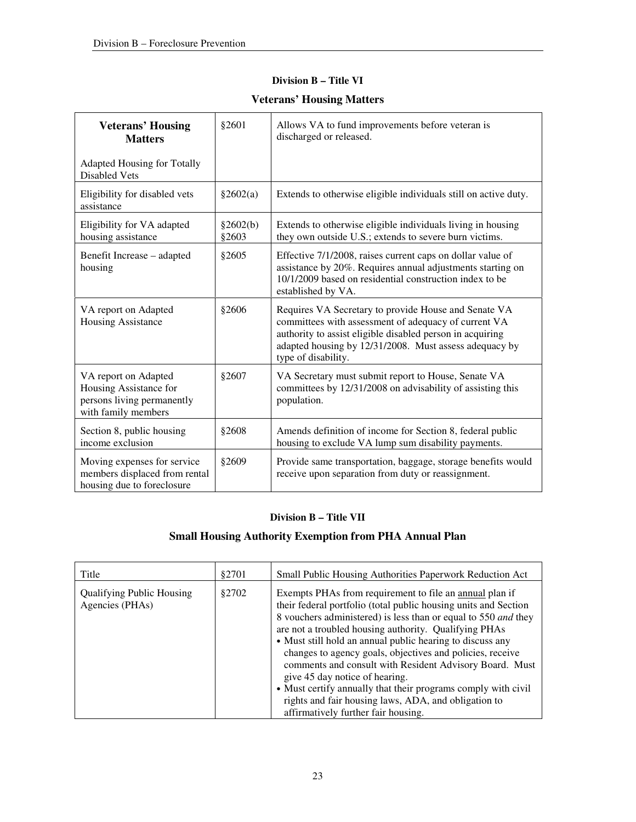| Division B - Title VI |  |  |
|-----------------------|--|--|
|-----------------------|--|--|

| <b>Veterans' Housing</b><br><b>Matters</b>                                                          | §2601             | Allows VA to fund improvements before veteran is<br>discharged or released.                                                                                                                                                                                |
|-----------------------------------------------------------------------------------------------------|-------------------|------------------------------------------------------------------------------------------------------------------------------------------------------------------------------------------------------------------------------------------------------------|
| <b>Adapted Housing for Totally</b><br><b>Disabled Vets</b>                                          |                   |                                                                                                                                                                                                                                                            |
| Eligibility for disabled vets<br>assistance                                                         | §2602(a)          | Extends to otherwise eligible individuals still on active duty.                                                                                                                                                                                            |
| Eligibility for VA adapted<br>housing assistance                                                    | §2602(b)<br>§2603 | Extends to otherwise eligible individuals living in housing<br>they own outside U.S.; extends to severe burn victims.                                                                                                                                      |
| Benefit Increase - adapted<br>housing                                                               | \$2605            | Effective 7/1/2008, raises current caps on dollar value of<br>assistance by 20%. Requires annual adjustments starting on<br>10/1/2009 based on residential construction index to be<br>established by VA.                                                  |
| VA report on Adapted<br><b>Housing Assistance</b>                                                   | §2606             | Requires VA Secretary to provide House and Senate VA<br>committees with assessment of adequacy of current VA<br>authority to assist eligible disabled person in acquiring<br>adapted housing by 12/31/2008. Must assess adequacy by<br>type of disability. |
| VA report on Adapted<br>Housing Assistance for<br>persons living permanently<br>with family members | §2607             | VA Secretary must submit report to House, Senate VA<br>committees by 12/31/2008 on advisability of assisting this<br>population.                                                                                                                           |
| Section 8, public housing<br>income exclusion                                                       | §2608             | Amends definition of income for Section 8, federal public<br>housing to exclude VA lump sum disability payments.                                                                                                                                           |
| Moving expenses for service<br>members displaced from rental<br>housing due to foreclosure          | §2609             | Provide same transportation, baggage, storage benefits would<br>receive upon separation from duty or reassignment.                                                                                                                                         |

# **Veterans' Housing Matters**

## **Division B – Title VII**

## **Small Housing Authority Exemption from PHA Annual Plan**

| Title                                               | §2701 | Small Public Housing Authorities Paperwork Reduction Act                                                                                                                                                                                                                                                                                                                                                                                                                                                                                                                                                                                     |
|-----------------------------------------------------|-------|----------------------------------------------------------------------------------------------------------------------------------------------------------------------------------------------------------------------------------------------------------------------------------------------------------------------------------------------------------------------------------------------------------------------------------------------------------------------------------------------------------------------------------------------------------------------------------------------------------------------------------------------|
| <b>Qualifying Public Housing</b><br>Agencies (PHAs) | §2702 | Exempts PHAs from requirement to file an annual plan if<br>their federal portfolio (total public housing units and Section<br>8 vouchers administered) is less than or equal to 550 and they<br>are not a troubled housing authority. Qualifying PHAs<br>• Must still hold an annual public hearing to discuss any<br>changes to agency goals, objectives and policies, receive<br>comments and consult with Resident Advisory Board. Must<br>give 45 day notice of hearing.<br>• Must certify annually that their programs comply with civil<br>rights and fair housing laws, ADA, and obligation to<br>affirmatively further fair housing. |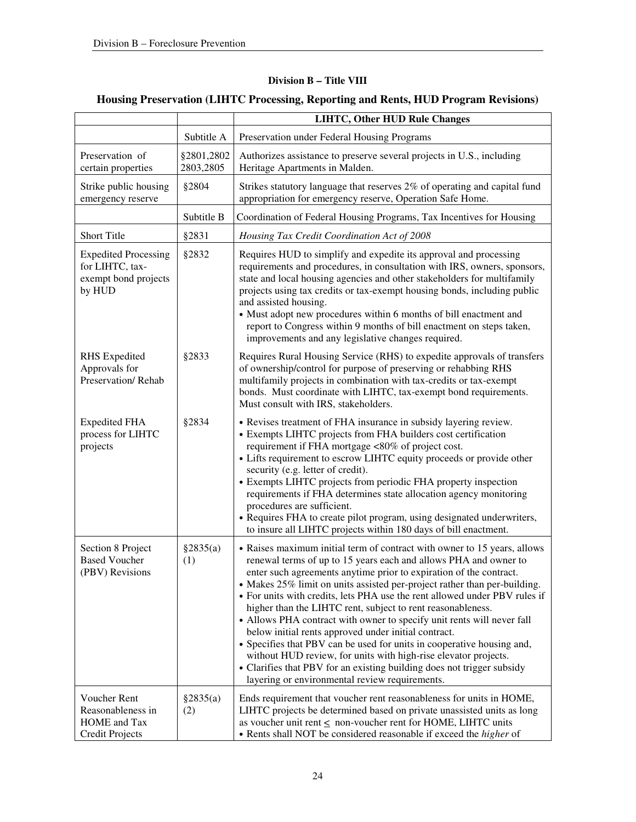## **Division B – Title VIII**

# **Housing Preservation (LIHTC Processing, Reporting and Rents, HUD Program Revisions)**

|                                                                                    |                         | <b>LIHTC, Other HUD Rule Changes</b>                                                                                                                                                                                                                                                                                                                                                                                                                                                                                                                                                                                                                                                                                                                                                                                                                    |
|------------------------------------------------------------------------------------|-------------------------|---------------------------------------------------------------------------------------------------------------------------------------------------------------------------------------------------------------------------------------------------------------------------------------------------------------------------------------------------------------------------------------------------------------------------------------------------------------------------------------------------------------------------------------------------------------------------------------------------------------------------------------------------------------------------------------------------------------------------------------------------------------------------------------------------------------------------------------------------------|
|                                                                                    | Subtitle A              | Preservation under Federal Housing Programs                                                                                                                                                                                                                                                                                                                                                                                                                                                                                                                                                                                                                                                                                                                                                                                                             |
| Preservation of<br>certain properties                                              | §2801,2802<br>2803,2805 | Authorizes assistance to preserve several projects in U.S., including<br>Heritage Apartments in Malden.                                                                                                                                                                                                                                                                                                                                                                                                                                                                                                                                                                                                                                                                                                                                                 |
| Strike public housing<br>emergency reserve                                         | §2804                   | Strikes statutory language that reserves 2% of operating and capital fund<br>appropriation for emergency reserve, Operation Safe Home.                                                                                                                                                                                                                                                                                                                                                                                                                                                                                                                                                                                                                                                                                                                  |
|                                                                                    | Subtitle B              | Coordination of Federal Housing Programs, Tax Incentives for Housing                                                                                                                                                                                                                                                                                                                                                                                                                                                                                                                                                                                                                                                                                                                                                                                    |
| <b>Short Title</b>                                                                 | §2831                   | Housing Tax Credit Coordination Act of 2008                                                                                                                                                                                                                                                                                                                                                                                                                                                                                                                                                                                                                                                                                                                                                                                                             |
| <b>Expedited Processing</b><br>for LIHTC, tax-<br>exempt bond projects<br>by HUD   | §2832                   | Requires HUD to simplify and expedite its approval and processing<br>requirements and procedures, in consultation with IRS, owners, sponsors,<br>state and local housing agencies and other stakeholders for multifamily<br>projects using tax credits or tax-exempt housing bonds, including public<br>and assisted housing.<br>• Must adopt new procedures within 6 months of bill enactment and<br>report to Congress within 9 months of bill enactment on steps taken,<br>improvements and any legislative changes required.                                                                                                                                                                                                                                                                                                                        |
| <b>RHS</b> Expedited<br>Approvals for<br>Preservation/Rehab                        | §2833                   | Requires Rural Housing Service (RHS) to expedite approvals of transfers<br>of ownership/control for purpose of preserving or rehabbing RHS<br>multifamily projects in combination with tax-credits or tax-exempt<br>bonds. Must coordinate with LIHTC, tax-exempt bond requirements.<br>Must consult with IRS, stakeholders.                                                                                                                                                                                                                                                                                                                                                                                                                                                                                                                            |
| <b>Expedited FHA</b><br>process for LIHTC<br>projects                              | §2834                   | • Revises treatment of FHA insurance in subsidy layering review.<br>• Exempts LIHTC projects from FHA builders cost certification<br>requirement if FHA mortgage <80% of project cost.<br>• Lifts requirement to escrow LIHTC equity proceeds or provide other<br>security (e.g. letter of credit).<br>• Exempts LIHTC projects from periodic FHA property inspection<br>requirements if FHA determines state allocation agency monitoring<br>procedures are sufficient.<br>• Requires FHA to create pilot program, using designated underwriters,<br>to insure all LIHTC projects within 180 days of bill enactment.                                                                                                                                                                                                                                   |
| Section 8 Project<br><b>Based Voucher</b><br>(PBV) Revisions                       | \$2835(a)<br>(1)        | • Raises maximum initial term of contract with owner to 15 years, allows<br>renewal terms of up to 15 years each and allows PHA and owner to<br>enter such agreements anytime prior to expiration of the contract.<br>• Makes 25% limit on units assisted per-project rather than per-building.<br>• For units with credits, lets PHA use the rent allowed under PBV rules if<br>higher than the LIHTC rent, subject to rent reasonableness.<br>• Allows PHA contract with owner to specify unit rents will never fall<br>below initial rents approved under initial contract.<br>• Specifies that PBV can be used for units in cooperative housing and,<br>without HUD review, for units with high-rise elevator projects.<br>• Clarifies that PBV for an existing building does not trigger subsidy<br>layering or environmental review requirements. |
| Voucher Rent<br>Reasonableness in<br><b>HOME</b> and Tax<br><b>Credit Projects</b> | §2835(a)<br>(2)         | Ends requirement that voucher rent reasonableness for units in HOME,<br>LIHTC projects be determined based on private unassisted units as long<br>as voucher unit rent $\leq$ non-voucher rent for HOME, LIHTC units<br>• Rents shall NOT be considered reasonable if exceed the <i>higher</i> of                                                                                                                                                                                                                                                                                                                                                                                                                                                                                                                                                       |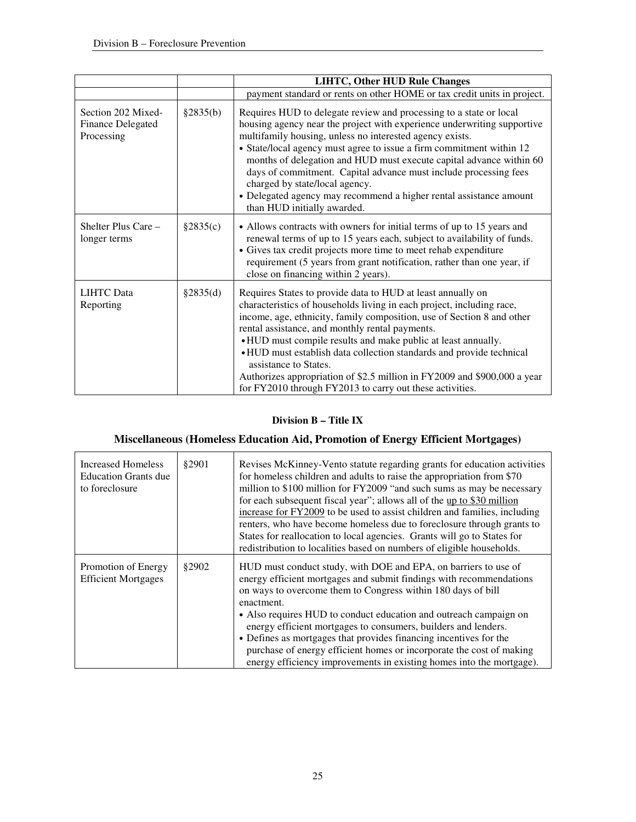|                                                              |          | <b>LIHTC, Other HUD Rule Changes</b>                                                                                                                                                                                                                                                                                                                                                                                                                                                                                                                                        |
|--------------------------------------------------------------|----------|-----------------------------------------------------------------------------------------------------------------------------------------------------------------------------------------------------------------------------------------------------------------------------------------------------------------------------------------------------------------------------------------------------------------------------------------------------------------------------------------------------------------------------------------------------------------------------|
|                                                              |          | payment standard or rents on other HOME or tax credit units in project.                                                                                                                                                                                                                                                                                                                                                                                                                                                                                                     |
| Section 202 Mixed-<br><b>Finance Delegated</b><br>Processing | §2835(b) | Requires HUD to delegate review and processing to a state or local<br>housing agency near the project with experience underwriting supportive<br>multifamily housing, unless no interested agency exists.<br>• State/local agency must agree to issue a firm commitment within 12<br>months of delegation and HUD must execute capital advance within 60<br>days of commitment. Capital advance must include processing fees<br>charged by state/local agency.<br>• Delegated agency may recommend a higher rental assistance amount<br>than HUD initially awarded.         |
| Shelter Plus Care -<br>longer terms                          | §2835(c) | • Allows contracts with owners for initial terms of up to 15 years and<br>renewal terms of up to 15 years each, subject to availability of funds.<br>• Gives tax credit projects more time to meet rehab expenditure<br>requirement (5 years from grant notification, rather than one year, if<br>close on financing within 2 years).                                                                                                                                                                                                                                       |
| <b>LIHTC</b> Data<br>Reporting                               | §2835(d) | Requires States to provide data to HUD at least annually on<br>characteristics of households living in each project, including race,<br>income, age, ethnicity, family composition, use of Section 8 and other<br>rental assistance, and monthly rental payments.<br>• HUD must compile results and make public at least annually.<br>• HUD must establish data collection standards and provide technical<br>assistance to States.<br>Authorizes appropriation of \$2.5 million in FY2009 and \$900,000 a year<br>for FY2010 through FY2013 to carry out these activities. |

## **Division B – Title IX**

## **Miscellaneous (Homeless Education Aid, Promotion of Energy Efficient Mortgages)**

| Increased Homeless          | \$2901 | Revises McKinney-Vento statute regarding grants for education activities  |
|-----------------------------|--------|---------------------------------------------------------------------------|
| <b>Education Grants due</b> |        | for homeless children and adults to raise the appropriation from \$70     |
| to foreclosure              |        | million to \$100 million for FY2009 "and such sums as may be necessary    |
|                             |        |                                                                           |
|                             |        | for each subsequent fiscal year"; allows all of the up to \$30 million    |
|                             |        | increase for FY2009 to be used to assist children and families, including |
|                             |        | renters, who have become homeless due to foreclosure through grants to    |
|                             |        | States for reallocation to local agencies. Grants will go to States for   |
|                             |        | redistribution to localities based on numbers of eligible households.     |
| Promotion of Energy         | \$2902 | HUD must conduct study, with DOE and EPA, on barriers to use of           |
|                             |        |                                                                           |
| <b>Efficient Mortgages</b>  |        | energy efficient mortgages and submit findings with recommendations       |
|                             |        | on ways to overcome them to Congress within 180 days of bill              |
|                             |        | enactment.                                                                |
|                             |        | • Also requires HUD to conduct education and outreach campaign on         |
|                             |        | energy efficient mortgages to consumers, builders and lenders.            |
|                             |        | • Defines as mortgages that provides financing incentives for the         |
|                             |        | purchase of energy efficient homes or incorporate the cost of making      |
|                             |        | energy efficiency improvements in existing homes into the mortgage).      |
|                             |        |                                                                           |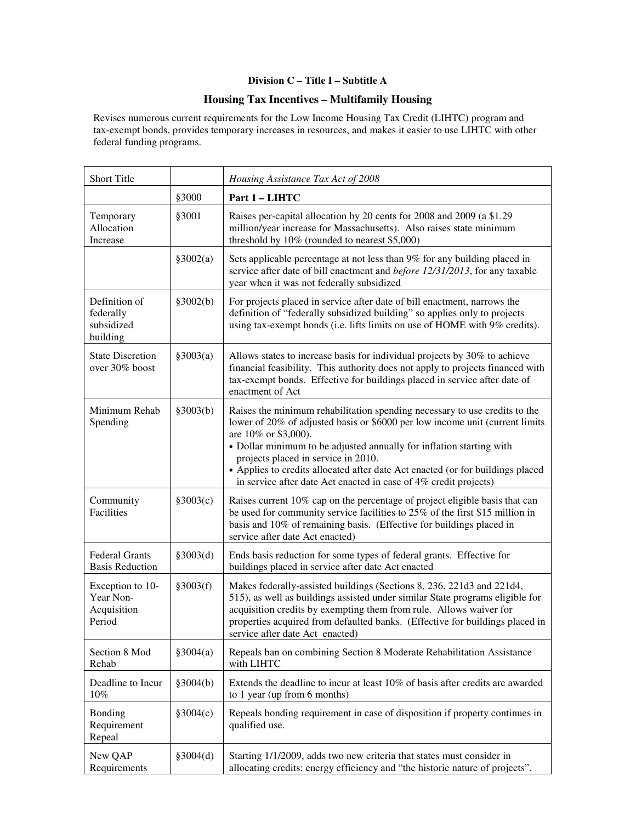### **Division C – Title I – Subtitle A**

### **Housing Tax Incentives – Multifamily Housing**

Revises numerous current requirements for the Low Income Housing Tax Credit (LIHTC) program and tax-exempt bonds, provides temporary increases in resources, and makes it easier to use LIHTC with other federal funding programs.

| Short Title                                            |           | Housing Assistance Tax Act of 2008                                                                                                                                                                                                                                                                                                                                                                                                                      |
|--------------------------------------------------------|-----------|---------------------------------------------------------------------------------------------------------------------------------------------------------------------------------------------------------------------------------------------------------------------------------------------------------------------------------------------------------------------------------------------------------------------------------------------------------|
|                                                        | §3000     | Part 1 - LIHTC                                                                                                                                                                                                                                                                                                                                                                                                                                          |
| Temporary<br>Allocation<br>Increase                    | §3001     | Raises per-capital allocation by 20 cents for 2008 and 2009 (a \$1.29<br>million/year increase for Massachusetts). Also raises state minimum<br>threshold by 10% (rounded to nearest \$5,000)                                                                                                                                                                                                                                                           |
|                                                        | §3002(a)  | Sets applicable percentage at not less than 9% for any building placed in<br>service after date of bill enactment and <i>before 12/31/2013</i> , for any taxable<br>year when it was not federally subsidized                                                                                                                                                                                                                                           |
| Definition of<br>federally<br>subsidized<br>building   | \$3002(b) | For projects placed in service after date of bill enactment, narrows the<br>definition of "federally subsidized building" so applies only to projects<br>using tax-exempt bonds (i.e. lifts limits on use of HOME with 9% credits).                                                                                                                                                                                                                     |
| <b>State Discretion</b><br>over 30% boost              | §3003(a)  | Allows states to increase basis for individual projects by 30% to achieve<br>financial feasibility. This authority does not apply to projects financed with<br>tax-exempt bonds. Effective for buildings placed in service after date of<br>enactment of Act                                                                                                                                                                                            |
| Minimum Rehab<br>Spending                              | §3003(b)  | Raises the minimum rehabilitation spending necessary to use credits to the<br>lower of 20% of adjusted basis or \$6000 per low income unit (current limits<br>are 10% or \$3,000).<br>• Dollar minimum to be adjusted annually for inflation starting with<br>projects placed in service in 2010.<br>• Applies to credits allocated after date Act enacted (or for buildings placed<br>in service after date Act enacted in case of 4% credit projects) |
| Community<br>Facilities                                | \$3003(c) | Raises current 10% cap on the percentage of project eligible basis that can<br>be used for community service facilities to 25% of the first \$15 million in<br>basis and 10% of remaining basis. (Effective for buildings placed in<br>service after date Act enacted)                                                                                                                                                                                  |
| <b>Federal Grants</b><br><b>Basis Reduction</b>        | §3003(d)  | Ends basis reduction for some types of federal grants. Effective for<br>buildings placed in service after date Act enacted                                                                                                                                                                                                                                                                                                                              |
| Exception to 10-<br>Year Non-<br>Acquisition<br>Period | §3003(f)  | Makes federally-assisted buildings (Sections 8, 236, 221d3 and 221d4,<br>515), as well as buildings assisted under similar State programs eligible for<br>acquisition credits by exempting them from rule. Allows waiver for<br>properties acquired from defaulted banks. (Effective for buildings placed in<br>service after date Act enacted)                                                                                                         |
| Section 8 Mod<br>Rehab                                 | §3004(a)  | Repeals ban on combining Section 8 Moderate Rehabilitation Assistance<br>with LIHTC                                                                                                                                                                                                                                                                                                                                                                     |
| Deadline to Incur<br>$10\%$                            | §3004(b)  | Extends the deadline to incur at least 10% of basis after credits are awarded<br>to 1 year (up from 6 months)                                                                                                                                                                                                                                                                                                                                           |
| Bonding<br>Requirement<br>Repeal                       | \$3004(c) | Repeals bonding requirement in case of disposition if property continues in<br>qualified use.                                                                                                                                                                                                                                                                                                                                                           |
| New QAP<br>Requirements                                | \$3004(d) | Starting 1/1/2009, adds two new criteria that states must consider in<br>allocating credits: energy efficiency and "the historic nature of projects".                                                                                                                                                                                                                                                                                                   |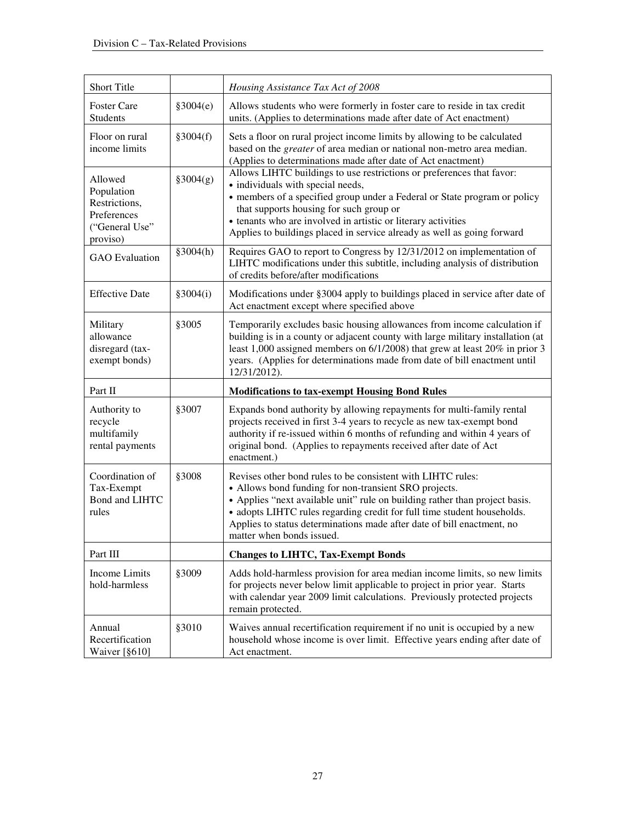| Short Title                                                                         |           | Housing Assistance Tax Act of 2008                                                                                                                                                                                                                                                                                                                                                    |
|-------------------------------------------------------------------------------------|-----------|---------------------------------------------------------------------------------------------------------------------------------------------------------------------------------------------------------------------------------------------------------------------------------------------------------------------------------------------------------------------------------------|
| <b>Foster Care</b><br><b>Students</b>                                               | \$3004(e) | Allows students who were formerly in foster care to reside in tax credit<br>units. (Applies to determinations made after date of Act enactment)                                                                                                                                                                                                                                       |
| Floor on rural<br>income limits                                                     | §3004(f)  | Sets a floor on rural project income limits by allowing to be calculated<br>based on the <i>greater</i> of area median or national non-metro area median.<br>(Applies to determinations made after date of Act enactment)                                                                                                                                                             |
| Allowed<br>Population<br>Restrictions,<br>Preferences<br>("General Use"<br>proviso) | \$3004(g) | Allows LIHTC buildings to use restrictions or preferences that favor:<br>• individuals with special needs,<br>• members of a specified group under a Federal or State program or policy<br>that supports housing for such group or<br>• tenants who are involved in artistic or literary activities<br>Applies to buildings placed in service already as well as going forward        |
| <b>GAO</b> Evaluation                                                               | \$3004(h) | Requires GAO to report to Congress by 12/31/2012 on implementation of<br>LIHTC modifications under this subtitle, including analysis of distribution<br>of credits before/after modifications                                                                                                                                                                                         |
| <b>Effective Date</b>                                                               | \$3004(i) | Modifications under §3004 apply to buildings placed in service after date of<br>Act enactment except where specified above                                                                                                                                                                                                                                                            |
| Military<br>allowance<br>disregard (tax-<br>exempt bonds)                           | §3005     | Temporarily excludes basic housing allowances from income calculation if<br>building is in a county or adjacent county with large military installation (at<br>least 1,000 assigned members on 6/1/2008) that grew at least 20% in prior 3<br>years. (Applies for determinations made from date of bill enactment until<br>12/31/2012).                                               |
| Part II                                                                             |           | <b>Modifications to tax-exempt Housing Bond Rules</b>                                                                                                                                                                                                                                                                                                                                 |
| Authority to<br>recycle<br>multifamily<br>rental payments                           | §3007     | Expands bond authority by allowing repayments for multi-family rental<br>projects received in first 3-4 years to recycle as new tax-exempt bond<br>authority if re-issued within 6 months of refunding and within 4 years of<br>original bond. (Applies to repayments received after date of Act<br>enactment.)                                                                       |
| Coordination of<br>Tax-Exempt<br>Bond and LIHTC<br>rules                            | §3008     | Revises other bond rules to be consistent with LIHTC rules:<br>• Allows bond funding for non-transient SRO projects.<br>• Applies "next available unit" rule on building rather than project basis.<br>• adopts LIHTC rules regarding credit for full time student households.<br>Applies to status determinations made after date of bill enactment, no<br>matter when bonds issued. |
| Part III                                                                            |           | <b>Changes to LIHTC, Tax-Exempt Bonds</b>                                                                                                                                                                                                                                                                                                                                             |
| Income Limits<br>hold-harmless                                                      | §3009     | Adds hold-harmless provision for area median income limits, so new limits<br>for projects never below limit applicable to project in prior year. Starts<br>with calendar year 2009 limit calculations. Previously protected projects<br>remain protected.                                                                                                                             |
| Annual<br>Recertification<br>Waiver [§610]                                          | §3010     | Waives annual recertification requirement if no unit is occupied by a new<br>household whose income is over limit. Effective years ending after date of<br>Act enactment.                                                                                                                                                                                                             |